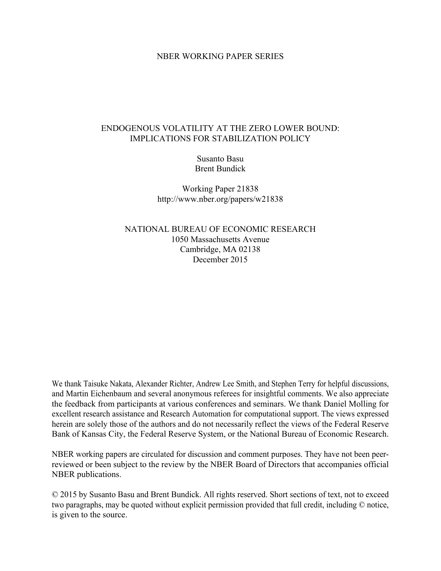#### NBER WORKING PAPER SERIES

### ENDOGENOUS VOLATILITY AT THE ZERO LOWER BOUND: IMPLICATIONS FOR STABILIZATION POLICY

Susanto Basu Brent Bundick

Working Paper 21838 http://www.nber.org/papers/w21838

NATIONAL BUREAU OF ECONOMIC RESEARCH 1050 Massachusetts Avenue Cambridge, MA 02138 December 2015

We thank Taisuke Nakata, Alexander Richter, Andrew Lee Smith, and Stephen Terry for helpful discussions, and Martin Eichenbaum and several anonymous referees for insightful comments. We also appreciate the feedback from participants at various conferences and seminars. We thank Daniel Molling for excellent research assistance and Research Automation for computational support. The views expressed herein are solely those of the authors and do not necessarily reflect the views of the Federal Reserve Bank of Kansas City, the Federal Reserve System, or the National Bureau of Economic Research.

NBER working papers are circulated for discussion and comment purposes. They have not been peerreviewed or been subject to the review by the NBER Board of Directors that accompanies official NBER publications.

© 2015 by Susanto Basu and Brent Bundick. All rights reserved. Short sections of text, not to exceed two paragraphs, may be quoted without explicit permission provided that full credit, including © notice, is given to the source.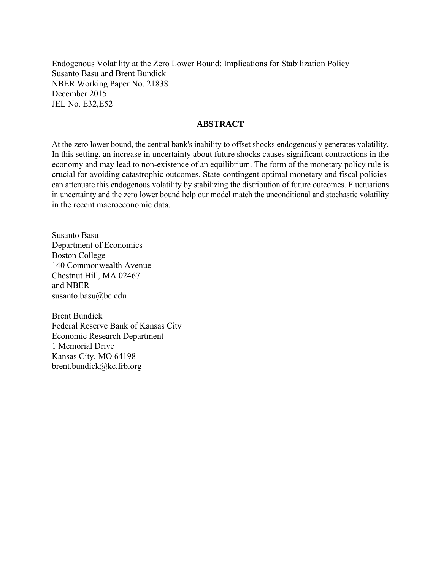Endogenous Volatility at the Zero Lower Bound: Implications for Stabilization Policy Susanto Basu and Brent Bundick NBER Working Paper No. 21838 December 2015 JEL No. E32,E52

#### **ABSTRACT**

At the zero lower bound, the central bank's inability to offset shocks endogenously generates volatility. In this setting, an increase in uncertainty about future shocks causes significant contractions in the economy and may lead to non-existence of an equilibrium. The form of the monetary policy rule is crucial for avoiding catastrophic outcomes. State-contingent optimal monetary and fiscal policies can attenuate this endogenous volatility by stabilizing the distribution of future outcomes. Fluctuations in uncertainty and the zero lower bound help our model match the unconditional and stochastic volatility in the recent macroeconomic data.

Susanto Basu Department of Economics Boston College 140 Commonwealth Avenue Chestnut Hill, MA 02467 and NBER susanto.basu@bc.edu

Brent Bundick Federal Reserve Bank of Kansas City Economic Research Department 1 Memorial Drive Kansas City, MO 64198 brent.bundick@kc.frb.org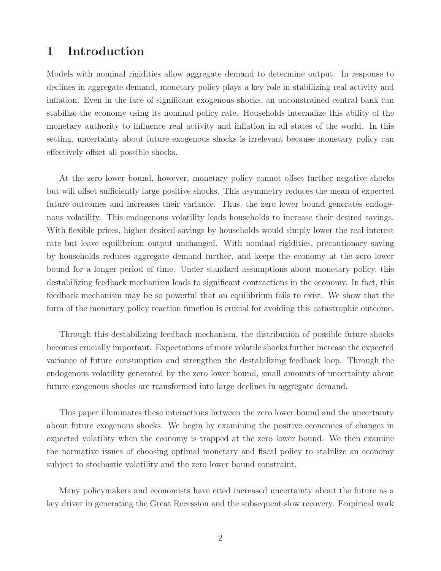# 1 Introduction

Models with nominal rigidities allow aggregate demand to determine output. In response to declines in aggregate demand, monetary policy plays a key role in stabilizing real activity and inflation. Even in the face of significant exogenous shocks, an unconstrained central bank can stabilize the economy using its nominal policy rate. Households internalize this ability of the monetary authority to influence real activity and inflation in all states of the world. In this setting, uncertainty about future exogenous shocks is irrelevant because monetary policy can effectively offset all possible shocks.

At the zero lower bound, however, monetary policy cannot offset further negative shocks but will offset sufficiently large positive shocks. This asymmetry reduces the mean of expected future outcomes and increases their variance. Thus, the zero lower bound generates endogenous volatility. This endogenous volatility leads households to increase their desired savings. With flexible prices, higher desired savings by households would simply lower the real interest rate but leave equilibrium output unchanged. With nominal rigidities, precautionary saving by households reduces aggregate demand further, and keeps the economy at the zero lower bound for a longer period of time. Under standard assumptions about monetary policy, this destabilizing feedback mechanism leads to significant contractions in the economy. In fact, this feedback mechanism may be so powerful that an equilibrium fails to exist. We show that the form of the monetary policy reaction function is crucial for avoiding this catastrophic outcome.

Through this destabilizing feedback mechanism, the distribution of possible future shocks becomes crucially important. Expectations of more volatile shocks further increase the expected variance of future consumption and strengthen the destabilizing feedback loop. Through the endogenous volatility generated by the zero lower bound, small amounts of uncertainty about future exogenous shocks are transformed into large declines in aggregate demand.

This paper illuminates these interactions between the zero lower bound and the uncertainty about future exogenous shocks. We begin by examining the positive economics of changes in expected volatility when the economy is trapped at the zero lower bound. We then examine the normative issues of choosing optimal monetary and fiscal policy to stabilize an economy subject to stochastic volatility and the zero lower bound constraint.

Many policymakers and economists have cited increased uncertainty about the future as a key driver in generating the Great Recession and the subsequent slow recovery. Empirical work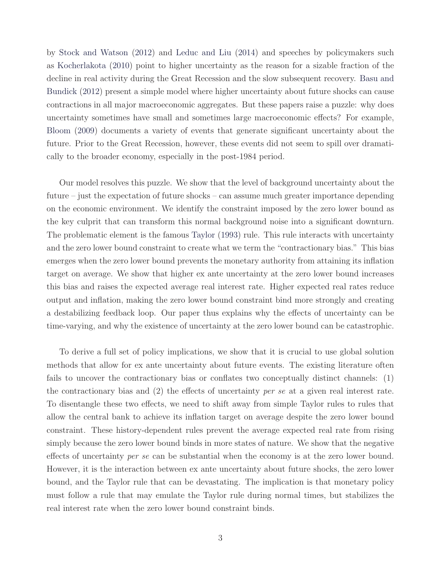by Stock and Watson (2012) and Leduc and Liu (2014) and speeches by policymakers such as Kocherlakota (2010) point to higher uncertainty as the reason for a sizable fraction of the decline in real activity during the Great Recession and the slow subsequent recovery. Basu and Bundick (2012) present a simple model where higher uncertainty about future shocks can cause contractions in all major macroeconomic aggregates. But these papers raise a puzzle: why does uncertainty sometimes have small and sometimes large macroeconomic effects? For example, Bloom (2009) documents a variety of events that generate significant uncertainty about the future. Prior to the Great Recession, however, these events did not seem to spill over dramatically to the broader economy, especially in the post-1984 period.

Our model resolves this puzzle. We show that the level of background uncertainty about the future – just the expectation of future shocks – can assume much greater importance depending on the economic environment. We identify the constraint imposed by the zero lower bound as the key culprit that can transform this normal background noise into a significant downturn. The problematic element is the famous Taylor (1993) rule. This rule interacts with uncertainty and the zero lower bound constraint to create what we term the "contractionary bias." This bias emerges when the zero lower bound prevents the monetary authority from attaining its inflation target on average. We show that higher ex ante uncertainty at the zero lower bound increases this bias and raises the expected average real interest rate. Higher expected real rates reduce output and inflation, making the zero lower bound constraint bind more strongly and creating a destabilizing feedback loop. Our paper thus explains why the effects of uncertainty can be time-varying, and why the existence of uncertainty at the zero lower bound can be catastrophic.

To derive a full set of policy implications, we show that it is crucial to use global solution methods that allow for ex ante uncertainty about future events. The existing literature often fails to uncover the contractionary bias or conflates two conceptually distinct channels: (1) the contractionary bias and (2) the effects of uncertainty *per se* at a given real interest rate. To disentangle these two effects, we need to shift away from simple Taylor rules to rules that allow the central bank to achieve its inflation target on average despite the zero lower bound constraint. These history-dependent rules prevent the average expected real rate from rising simply because the zero lower bound binds in more states of nature. We show that the negative effects of uncertainty *per se* can be substantial when the economy is at the zero lower bound. However, it is the interaction between ex ante uncertainty about future shocks, the zero lower bound, and the Taylor rule that can be devastating. The implication is that monetary policy must follow a rule that may emulate the Taylor rule during normal times, but stabilizes the real interest rate when the zero lower bound constraint binds.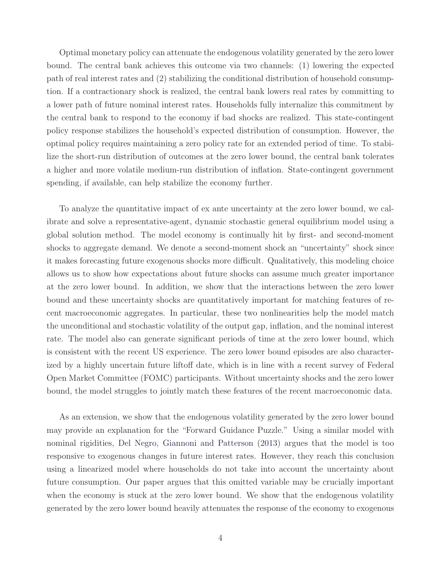Optimal monetary policy can attenuate the endogenous volatility generated by the zero lower bound. The central bank achieves this outcome via two channels: (1) lowering the expected path of real interest rates and (2) stabilizing the conditional distribution of household consumption. If a contractionary shock is realized, the central bank lowers real rates by committing to a lower path of future nominal interest rates. Households fully internalize this commitment by the central bank to respond to the economy if bad shocks are realized. This state-contingent policy response stabilizes the household's expected distribution of consumption. However, the optimal policy requires maintaining a zero policy rate for an extended period of time. To stabilize the short-run distribution of outcomes at the zero lower bound, the central bank tolerates a higher and more volatile medium-run distribution of inflation. State-contingent government spending, if available, can help stabilize the economy further.

To analyze the quantitative impact of ex ante uncertainty at the zero lower bound, we calibrate and solve a representative-agent, dynamic stochastic general equilibrium model using a global solution method. The model economy is continually hit by first- and second-moment shocks to aggregate demand. We denote a second-moment shock an "uncertainty" shock since it makes forecasting future exogenous shocks more difficult. Qualitatively, this modeling choice allows us to show how expectations about future shocks can assume much greater importance at the zero lower bound. In addition, we show that the interactions between the zero lower bound and these uncertainty shocks are quantitatively important for matching features of recent macroeconomic aggregates. In particular, these two nonlinearities help the model match the unconditional and stochastic volatility of the output gap, inflation, and the nominal interest rate. The model also can generate significant periods of time at the zero lower bound, which is consistent with the recent US experience. The zero lower bound episodes are also characterized by a highly uncertain future liftoff date, which is in line with a recent survey of Federal Open Market Committee (FOMC) participants. Without uncertainty shocks and the zero lower bound, the model struggles to jointly match these features of the recent macroeconomic data.

As an extension, we show that the endogenous volatility generated by the zero lower bound may provide an explanation for the "Forward Guidance Puzzle." Using a similar model with nominal rigidities, Del Negro, Giannoni and Patterson (2013) argues that the model is too responsive to exogenous changes in future interest rates. However, they reach this conclusion using a linearized model where households do not take into account the uncertainty about future consumption. Our paper argues that this omitted variable may be crucially important when the economy is stuck at the zero lower bound. We show that the endogenous volatility generated by the zero lower bound heavily attenuates the response of the economy to exogenous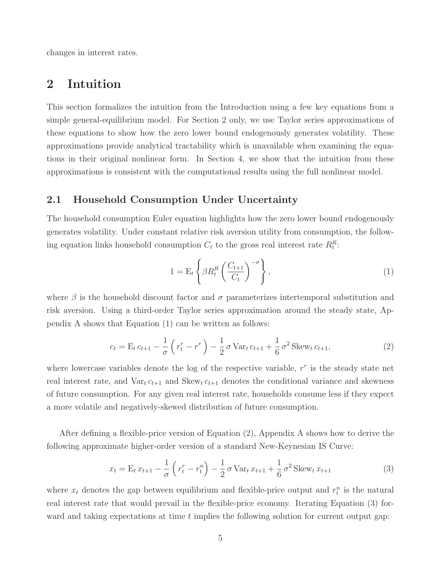changes in interest rates.

# 2 Intuition

This section formalizes the intuition from the Introduction using a few key equations from a simple general-equilibrium model. For Section 2 only, we use Taylor series approximations of these equations to show how the zero lower bound endogenously generates volatility. These approximations provide analytical tractability which is unavailable when examining the equations in their original nonlinear form. In Section 4, we show that the intuition from these approximations is consistent with the computational results using the full nonlinear model.

### 2.1 Household Consumption Under Uncertainty

The household consumption Euler equation highlights how the zero lower bound endogenously generates volatility. Under constant relative risk aversion utility from consumption, the following equation links household consumption  $C_t$  to the gross real interest rate  $R_t^R$ :

$$
1 = \mathcal{E}_t \left\{ \beta R_t^R \left( \frac{C_{t+1}}{C_t} \right)^{-\sigma} \right\},\tag{1}
$$

where  $\beta$  is the household discount factor and  $\sigma$  parameterizes intertemporal substitution and risk aversion. Using a third-order Taylor series approximation around the steady state, Appendix A shows that Equation (1) can be written as follows:

$$
c_t = \mathcal{E}_t c_{t+1} - \frac{1}{\sigma} \left( r_t^r - r^r \right) - \frac{1}{2} \sigma \, \text{Var}_t c_{t+1} + \frac{1}{6} \, \sigma^2 \, \text{Skew}_t c_{t+1},\tag{2}
$$

where lowercase variables denote the log of the respective variable,  $r<sup>r</sup>$  is the steady state net real interest rate, and  $Var_t c_{t+1}$  and  $Skew_t c_{t+1}$  denotes the conditional variance and skewness of future consumption. For any given real interest rate, households consume less if they expect a more volatile and negatively-skewed distribution of future consumption.

After defining a flexible-price version of Equation (2), Appendix A shows how to derive the following approximate higher-order version of a standard New-Keynesian IS Curve:

$$
x_t = \mathcal{E}_t x_{t+1} - \frac{1}{\sigma} \left( r_t^r - r_t^n \right) - \frac{1}{2} \sigma \, \text{Var}_t \, x_{t+1} + \frac{1}{6} \, \sigma^2 \, \text{Skew}_t \, x_{t+1} \tag{3}
$$

where  $x_t$  denotes the gap between equilibrium and flexible-price output and  $r_t^n$  is the natural real interest rate that would prevail in the flexible-price economy. Iterating Equation (3) forward and taking expectations at time  $t$  implies the following solution for current output gap: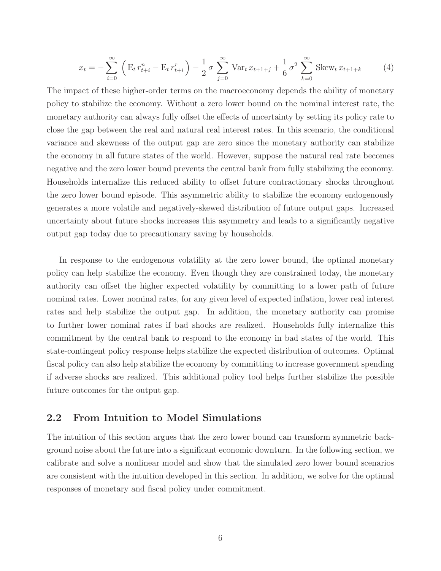$$
x_{t} = -\sum_{i=0}^{\infty} \left( E_{t} r_{t+i}^{n} - E_{t} r_{t+i}^{r} \right) - \frac{1}{2} \sigma \sum_{j=0}^{\infty} \text{Var}_{t} x_{t+1+j} + \frac{1}{6} \sigma^{2} \sum_{k=0}^{\infty} \text{Skew}_{t} x_{t+1+k} \tag{4}
$$

The impact of these higher-order terms on the macroeconomy depends the ability of monetary policy to stabilize the economy. Without a zero lower bound on the nominal interest rate, the monetary authority can always fully offset the effects of uncertainty by setting its policy rate to close the gap between the real and natural real interest rates. In this scenario, the conditional variance and skewness of the output gap are zero since the monetary authority can stabilize the economy in all future states of the world. However, suppose the natural real rate becomes negative and the zero lower bound prevents the central bank from fully stabilizing the economy. Households internalize this reduced ability to offset future contractionary shocks throughout the zero lower bound episode. This asymmetric ability to stabilize the economy endogenously generates a more volatile and negatively-skewed distribution of future output gaps. Increased uncertainty about future shocks increases this asymmetry and leads to a significantly negative output gap today due to precautionary saving by households.

In response to the endogenous volatility at the zero lower bound, the optimal monetary policy can help stabilize the economy. Even though they are constrained today, the monetary authority can offset the higher expected volatility by committing to a lower path of future nominal rates. Lower nominal rates, for any given level of expected inflation, lower real interest rates and help stabilize the output gap. In addition, the monetary authority can promise to further lower nominal rates if bad shocks are realized. Households fully internalize this commitment by the central bank to respond to the economy in bad states of the world. This state-contingent policy response helps stabilize the expected distribution of outcomes. Optimal fiscal policy can also help stabilize the economy by committing to increase government spending if adverse shocks are realized. This additional policy tool helps further stabilize the possible future outcomes for the output gap.

### 2.2 From Intuition to Model Simulations

The intuition of this section argues that the zero lower bound can transform symmetric background noise about the future into a significant economic downturn. In the following section, we calibrate and solve a nonlinear model and show that the simulated zero lower bound scenarios are consistent with the intuition developed in this section. In addition, we solve for the optimal responses of monetary and fiscal policy under commitment.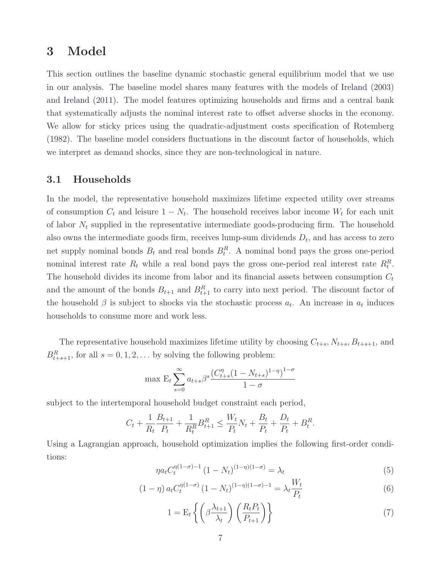# 3 Model

This section outlines the baseline dynamic stochastic general equilibrium model that we use in our analysis. The baseline model shares many features with the models of Ireland (2003) and Ireland (2011). The model features optimizing households and firms and a central bank that systematically adjusts the nominal interest rate to offset adverse shocks in the economy. We allow for sticky prices using the quadratic-adjustment costs specification of Rotemberg (1982). The baseline model considers fluctuations in the discount factor of households, which we interpret as demand shocks, since they are non-technological in nature.

### 3.1 Households

In the model, the representative household maximizes lifetime expected utility over streams of consumption  $C_t$  and leisure  $1 - N_t$ . The household receives labor income  $W_t$  for each unit of labor  $N_t$  supplied in the representative intermediate goods-producing firm. The household also owns the intermediate goods firm, receives lump-sum dividends  $D_t$ , and has access to zero net supply nominal bonds  $B_t$  and real bonds  $B_t^R$ . A nominal bond pays the gross one-period nominal interest rate  $R_t$  while a real bond pays the gross one-period real interest rate  $R_t^R$ . The household divides its income from labor and its financial assets between consumption  $C_t$ and the amount of the bonds  $B_{t+1}$  and  $B_{t+1}^R$  to carry into next period. The discount factor of the household  $\beta$  is subject to shocks via the stochastic process  $a_t$ . An increase in  $a_t$  induces households to consume more and work less.

The representative household maximizes lifetime utility by choosing  $C_{t+s}$ ,  $N_{t+s}$ ,  $B_{t+s+1}$ , and  $B_{t+s+1}^R$ , for all  $s = 0, 1, 2, \ldots$  by solving the following problem:

$$
\max \mathcal{E}_t \sum_{s=0}^{\infty} a_{t+s} \beta^s \frac{(C_{t+s}^{\eta} (1 - N_{t+s})^{1-\eta})^{1-\sigma}}{1-\sigma}
$$

subject to the intertemporal household budget constraint each period,

$$
C_t + \frac{1}{R_t} \frac{B_{t+1}}{P_t} + \frac{1}{R_t^R} B_{t+1}^R \le \frac{W_t}{P_t} N_t + \frac{B_t}{P_t} + \frac{D_t}{P_t} + B_t^R.
$$

Using a Lagrangian approach, household optimization implies the following first-order conditions:

$$
\eta a_t C_t^{\eta(1-\sigma)-1} (1 - N_t)^{(1-\eta)(1-\sigma)} = \lambda_t \tag{5}
$$

$$
(1 - \eta) a_t C_t^{\eta(1 - \sigma)} (1 - N_t)^{(1 - \eta)(1 - \sigma) - 1} = \lambda_t \frac{W_t}{P_t}
$$
\n(6)

$$
1 = \mathcal{E}_t \left\{ \left( \beta \frac{\lambda_{t+1}}{\lambda_t} \right) \left( \frac{R_t P_t}{P_{t+1}} \right) \right\} \tag{7}
$$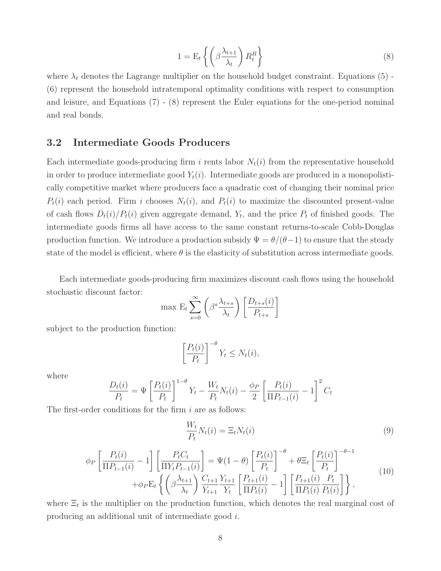$$
1 = \mathcal{E}_t \left\{ \left( \beta \frac{\lambda_{t+1}}{\lambda_t} \right) R_t^R \right\} \tag{8}
$$

where  $\lambda_t$  denotes the Lagrange multiplier on the household budget constraint. Equations (5) -(6) represent the household intratemporal optimality conditions with respect to consumption and leisure, and Equations (7) - (8) represent the Euler equations for the one-period nominal and real bonds.

### 3.2 Intermediate Goods Producers

Each intermediate goods-producing firm i rents labor  $N_t(i)$  from the representative household in order to produce intermediate good  $Y_t(i)$ . Intermediate goods are produced in a monopolistically competitive market where producers face a quadratic cost of changing their nominal price  $P_t(i)$  each period. Firm i chooses  $N_t(i)$ , and  $P_t(i)$  to maximize the discounted present-value of cash flows  $D_t(i)/P_t(i)$  given aggregate demand,  $Y_t$ , and the price  $P_t$  of finished goods. The intermediate goods firms all have access to the same constant returns-to-scale Cobb-Douglas production function. We introduce a production subsidy  $\Psi = \theta/(\theta-1)$  to ensure that the steady state of the model is efficient, where  $\theta$  is the elasticity of substitution across intermediate goods.

Each intermediate goods-producing firm maximizes discount cash flows using the household stochastic discount factor:

$$
\max \mathbf{E}_t \sum_{s=0}^{\infty} \left( \beta^s \frac{\lambda_{t+s}}{\lambda_t} \right) \left[ \frac{D_{t+s}(i)}{P_{t+s}} \right]
$$

subject to the production function:

$$
\left[\frac{P_t(i)}{P_t}\right]^{-\theta} Y_t \le N_t(i),
$$

where

$$
\frac{D_t(i)}{P_t} = \Psi \left[ \frac{P_t(i)}{P_t} \right]^{1-\theta} Y_t - \frac{W_t}{P_t} N_t(i) - \frac{\phi_P}{2} \left[ \frac{P_t(i)}{\Pi P_{t-1}(i)} - 1 \right]^2 C_t
$$

The first-order conditions for the firm  $i$  are as follows:

$$
\frac{W_t}{P_t} N_t(i) = \Xi_t N_t(i)
$$
\n(9)

$$
\phi_P\left[\frac{P_t(i)}{\Pi P_{t-1}(i)} - 1\right] \left[\frac{P_t C_t}{\Pi Y_t P_{t-1}(i)}\right] = \Psi(1-\theta) \left[\frac{P_t(i)}{P_t}\right]^{-\theta} + \theta \Xi_t \left[\frac{P_t(i)}{P_t}\right]^{-\theta-1} + \phi_P \mathcal{E}_t \left\{ \left(\beta \frac{\lambda_{t+1}}{\lambda_t}\right) \frac{C_{t+1}}{Y_{t+1}} \frac{Y_{t+1}}{Y_t} \left[\frac{P_{t+1}(i)}{\Pi P_t(i)} - 1\right] \left[\frac{P_{t+1}(i)}{\Pi P_t(i)} \frac{P_t}{P_t(i)}\right] \right\},\tag{10}
$$

where  $\Xi_t$  is the multiplier on the production function, which denotes the real marginal cost of producing an additional unit of intermediate good i.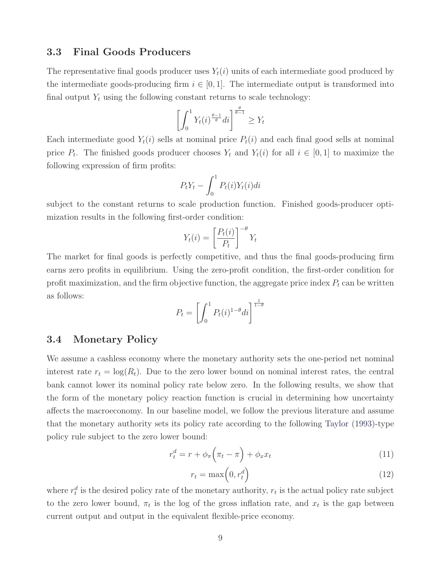#### 3.3 Final Goods Producers

The representative final goods producer uses  $Y_t(i)$  units of each intermediate good produced by the intermediate goods-producing firm  $i \in [0, 1]$ . The intermediate output is transformed into final output  $Y_t$  using the following constant returns to scale technology:

$$
\left[\int_0^1 Y_t(i)^{\frac{\theta-1}{\theta}} di\right]^{\frac{\theta}{\theta-1}} \ge Y_t
$$

Each intermediate good  $Y_t(i)$  sells at nominal price  $P_t(i)$  and each final good sells at nominal price  $P_t$ . The finished goods producer chooses  $Y_t$  and  $Y_t(i)$  for all  $i \in [0,1]$  to maximize the following expression of firm profits:

$$
P_t Y_t - \int_0^1 P_t(i) Y_t(i) di
$$

subject to the constant returns to scale production function. Finished goods-producer optimization results in the following first-order condition:

$$
Y_t(i) = \left[\frac{P_t(i)}{P_t}\right]^{-\theta} Y_t
$$

The market for final goods is perfectly competitive, and thus the final goods-producing firm earns zero profits in equilibrium. Using the zero-profit condition, the first-order condition for profit maximization, and the firm objective function, the aggregate price index  $P_t$  can be written as follows:

$$
P_t = \left[ \int_0^1 P_t(i)^{1-\theta} di \right]^{\frac{1}{1-\theta}}
$$

#### 3.4 Monetary Policy

We assume a cashless economy where the monetary authority sets the one-period net nominal interest rate  $r_t = \log(R_t)$ . Due to the zero lower bound on nominal interest rates, the central bank cannot lower its nominal policy rate below zero. In the following results, we show that the form of the monetary policy reaction function is crucial in determining how uncertainty affects the macroeconomy. In our baseline model, we follow the previous literature and assume that the monetary authority sets its policy rate according to the following Taylor (1993)-type policy rule subject to the zero lower bound:

$$
r_t^d = r + \phi_\pi \left(\pi_t - \pi\right) + \phi_x x_t \tag{11}
$$

$$
r_t = \max\left(0, r_t^d\right) \tag{12}
$$

where  $r_t^d$  is the desired policy rate of the monetary authority,  $r_t$  is the actual policy rate subject to the zero lower bound,  $\pi_t$  is the log of the gross inflation rate, and  $x_t$  is the gap between current output and output in the equivalent flexible-price economy.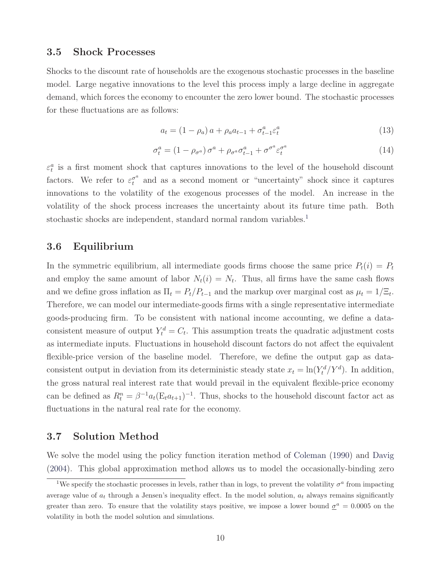#### 3.5 Shock Processes

Shocks to the discount rate of households are the exogenous stochastic processes in the baseline model. Large negative innovations to the level this process imply a large decline in aggregate demand, which forces the economy to encounter the zero lower bound. The stochastic processes for these fluctuations are as follows:

$$
a_t = (1 - \rho_a) a + \rho_a a_{t-1} + \sigma_{t-1}^a \varepsilon_t^a \tag{13}
$$

$$
\sigma_t^a = (1 - \rho_{\sigma^a}) \sigma^a + \rho_{\sigma^a} \sigma_{t-1}^a + \sigma^{\sigma^a} \varepsilon_t^{\sigma^a} \tag{14}
$$

 $\varepsilon_t^a$  is a first moment shock that captures innovations to the level of the household discount factors. We refer to  $\varepsilon_t^{\sigma^a}$  $\sigma_t^a$  and as a second moment or "uncertainty" shock since it captures innovations to the volatility of the exogenous processes of the model. An increase in the volatility of the shock process increases the uncertainty about its future time path. Both stochastic shocks are independent, standard normal random variables.<sup>1</sup>

#### 3.6 Equilibrium

In the symmetric equilibrium, all intermediate goods firms choose the same price  $P_t(i) = P_t$ and employ the same amount of labor  $N_t(i) = N_t$ . Thus, all firms have the same cash flows and we define gross inflation as  $\Pi_t = P_t/P_{t-1}$  and the markup over marginal cost as  $\mu_t = 1/\Xi_t$ . Therefore, we can model our intermediate-goods firms with a single representative intermediate goods-producing firm. To be consistent with national income accounting, we define a dataconsistent measure of output  $Y_t^d = C_t$ . This assumption treats the quadratic adjustment costs as intermediate inputs. Fluctuations in household discount factors do not affect the equivalent flexible-price version of the baseline model. Therefore, we define the output gap as dataconsistent output in deviation from its deterministic steady state  $x_t = \ln(Y_t^d/Y^d)$ . In addition, the gross natural real interest rate that would prevail in the equivalent flexible-price economy can be defined as  $R_t^n = \beta^{-1} a_t (\mathbf{E}_t a_{t+1})^{-1}$ . Thus, shocks to the household discount factor act as fluctuations in the natural real rate for the economy.

#### 3.7 Solution Method

We solve the model using the policy function iteration method of Coleman (1990) and Davig (2004). This global approximation method allows us to model the occasionally-binding zero

<sup>&</sup>lt;sup>1</sup>We specify the stochastic processes in levels, rather than in logs, to prevent the volatility  $\sigma^a$  from impacting average value of  $a_t$  through a Jensen's inequality effect. In the model solution,  $a_t$  always remains significantly greater than zero. To ensure that the volatility stays positive, we impose a lower bound  $\underline{\sigma}^a = 0.0005$  on the volatility in both the model solution and simulations.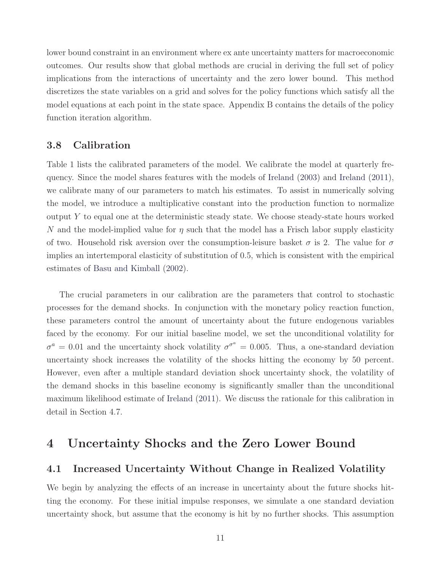lower bound constraint in an environment where ex ante uncertainty matters for macroeconomic outcomes. Our results show that global methods are crucial in deriving the full set of policy implications from the interactions of uncertainty and the zero lower bound. This method discretizes the state variables on a grid and solves for the policy functions which satisfy all the model equations at each point in the state space. Appendix B contains the details of the policy function iteration algorithm.

#### 3.8 Calibration

Table 1 lists the calibrated parameters of the model. We calibrate the model at quarterly frequency. Since the model shares features with the models of Ireland (2003) and Ireland (2011), we calibrate many of our parameters to match his estimates. To assist in numerically solving the model, we introduce a multiplicative constant into the production function to normalize output  $Y$  to equal one at the deterministic steady state. We choose steady-state hours worked N and the model-implied value for  $\eta$  such that the model has a Frisch labor supply elasticity of two. Household risk aversion over the consumption-leisure basket  $\sigma$  is 2. The value for  $\sigma$ implies an intertemporal elasticity of substitution of 0.5, which is consistent with the empirical estimates of Basu and Kimball (2002).

The crucial parameters in our calibration are the parameters that control to stochastic processes for the demand shocks. In conjunction with the monetary policy reaction function, these parameters control the amount of uncertainty about the future endogenous variables faced by the economy. For our initial baseline model, we set the unconditional volatility for  $\sigma^a = 0.01$  and the uncertainty shock volatility  $\sigma^{\sigma^a} = 0.005$ . Thus, a one-standard deviation uncertainty shock increases the volatility of the shocks hitting the economy by 50 percent. However, even after a multiple standard deviation shock uncertainty shock, the volatility of the demand shocks in this baseline economy is significantly smaller than the unconditional maximum likelihood estimate of Ireland (2011). We discuss the rationale for this calibration in detail in Section 4.7.

### 4 Uncertainty Shocks and the Zero Lower Bound

### 4.1 Increased Uncertainty Without Change in Realized Volatility

We begin by analyzing the effects of an increase in uncertainty about the future shocks hitting the economy. For these initial impulse responses, we simulate a one standard deviation uncertainty shock, but assume that the economy is hit by no further shocks. This assumption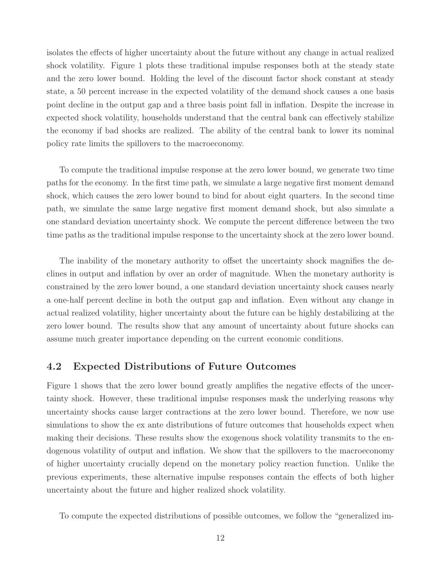isolates the effects of higher uncertainty about the future without any change in actual realized shock volatility. Figure 1 plots these traditional impulse responses both at the steady state and the zero lower bound. Holding the level of the discount factor shock constant at steady state, a 50 percent increase in the expected volatility of the demand shock causes a one basis point decline in the output gap and a three basis point fall in inflation. Despite the increase in expected shock volatility, households understand that the central bank can effectively stabilize the economy if bad shocks are realized. The ability of the central bank to lower its nominal policy rate limits the spillovers to the macroeconomy.

To compute the traditional impulse response at the zero lower bound, we generate two time paths for the economy. In the first time path, we simulate a large negative first moment demand shock, which causes the zero lower bound to bind for about eight quarters. In the second time path, we simulate the same large negative first moment demand shock, but also simulate a one standard deviation uncertainty shock. We compute the percent difference between the two time paths as the traditional impulse response to the uncertainty shock at the zero lower bound.

The inability of the monetary authority to offset the uncertainty shock magnifies the declines in output and inflation by over an order of magnitude. When the monetary authority is constrained by the zero lower bound, a one standard deviation uncertainty shock causes nearly a one-half percent decline in both the output gap and inflation. Even without any change in actual realized volatility, higher uncertainty about the future can be highly destabilizing at the zero lower bound. The results show that any amount of uncertainty about future shocks can assume much greater importance depending on the current economic conditions.

#### 4.2 Expected Distributions of Future Outcomes

Figure 1 shows that the zero lower bound greatly amplifies the negative effects of the uncertainty shock. However, these traditional impulse responses mask the underlying reasons why uncertainty shocks cause larger contractions at the zero lower bound. Therefore, we now use simulations to show the ex ante distributions of future outcomes that households expect when making their decisions. These results show the exogenous shock volatility transmits to the endogenous volatility of output and inflation. We show that the spillovers to the macroeconomy of higher uncertainty crucially depend on the monetary policy reaction function. Unlike the previous experiments, these alternative impulse responses contain the effects of both higher uncertainty about the future and higher realized shock volatility.

To compute the expected distributions of possible outcomes, we follow the "generalized im-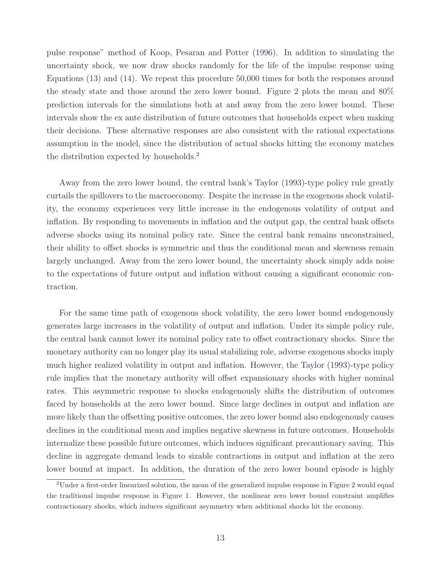pulse response" method of Koop, Pesaran and Potter (1996). In addition to simulating the uncertainty shock, we now draw shocks randomly for the life of the impulse response using Equations (13) and (14). We repeat this procedure 50,000 times for both the responses around the steady state and those around the zero lower bound. Figure 2 plots the mean and 80% prediction intervals for the simulations both at and away from the zero lower bound. These intervals show the ex ante distribution of future outcomes that households expect when making their decisions. These alternative responses are also consistent with the rational expectations assumption in the model, since the distribution of actual shocks hitting the economy matches the distribution expected by households.<sup>2</sup>

Away from the zero lower bound, the central bank's Taylor (1993)-type policy rule greatly curtails the spillovers to the macroeconomy. Despite the increase in the exogenous shock volatility, the economy experiences very little increase in the endogenous volatility of output and inflation. By responding to movements in inflation and the output gap, the central bank offsets adverse shocks using its nominal policy rate. Since the central bank remains unconstrained, their ability to offset shocks is symmetric and thus the conditional mean and skewness remain largely unchanged. Away from the zero lower bound, the uncertainty shock simply adds noise to the expectations of future output and inflation without causing a significant economic contraction.

For the same time path of exogenous shock volatility, the zero lower bound endogenously generates large increases in the volatility of output and inflation. Under its simple policy rule, the central bank cannot lower its nominal policy rate to offset contractionary shocks. Since the monetary authority can no longer play its usual stabilizing role, adverse exogenous shocks imply much higher realized volatility in output and inflation. However, the Taylor (1993)-type policy rule implies that the monetary authority will offset expansionary shocks with higher nominal rates. This asymmetric response to shocks endogenously shifts the distribution of outcomes faced by households at the zero lower bound. Since large declines in output and inflation are more likely than the offsetting positive outcomes, the zero lower bound also endogenously causes declines in the conditional mean and implies negative skewness in future outcomes. Households internalize these possible future outcomes, which induces significant precautionary saving. This decline in aggregate demand leads to sizable contractions in output and inflation at the zero lower bound at impact. In addition, the duration of the zero lower bound episode is highly

<sup>2</sup>Under a first-order linearized solution, the mean of the generalized impulse response in Figure 2 would equal the traditional impulse response in Figure 1. However, the nonlinear zero lower bound constraint amplifies contractionary shocks, which induces significant asymmetry when additional shocks hit the economy.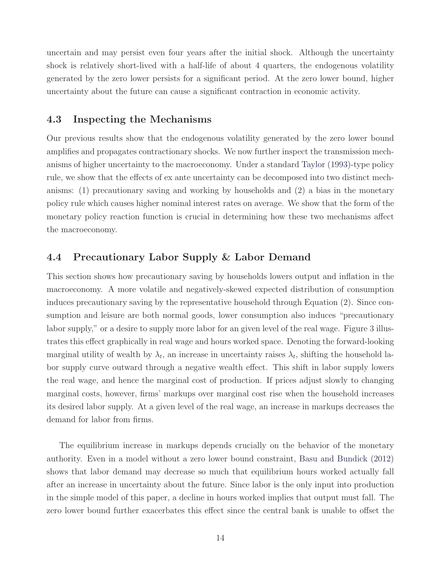uncertain and may persist even four years after the initial shock. Although the uncertainty shock is relatively short-lived with a half-life of about 4 quarters, the endogenous volatility generated by the zero lower persists for a significant period. At the zero lower bound, higher uncertainty about the future can cause a significant contraction in economic activity.

### 4.3 Inspecting the Mechanisms

Our previous results show that the endogenous volatility generated by the zero lower bound amplifies and propagates contractionary shocks. We now further inspect the transmission mechanisms of higher uncertainty to the macroeconomy. Under a standard Taylor (1993)-type policy rule, we show that the effects of ex ante uncertainty can be decomposed into two distinct mechanisms: (1) precautionary saving and working by households and (2) a bias in the monetary policy rule which causes higher nominal interest rates on average. We show that the form of the monetary policy reaction function is crucial in determining how these two mechanisms affect the macroeconomy.

### 4.4 Precautionary Labor Supply & Labor Demand

This section shows how precautionary saving by households lowers output and inflation in the macroeconomy. A more volatile and negatively-skewed expected distribution of consumption induces precautionary saving by the representative household through Equation (2). Since consumption and leisure are both normal goods, lower consumption also induces "precautionary labor supply," or a desire to supply more labor for an given level of the real wage. Figure 3 illustrates this effect graphically in real wage and hours worked space. Denoting the forward-looking marginal utility of wealth by  $\lambda_t$ , an increase in uncertainty raises  $\lambda_t$ , shifting the household labor supply curve outward through a negative wealth effect. This shift in labor supply lowers the real wage, and hence the marginal cost of production. If prices adjust slowly to changing marginal costs, however, firms' markups over marginal cost rise when the household increases its desired labor supply. At a given level of the real wage, an increase in markups decreases the demand for labor from firms.

The equilibrium increase in markups depends crucially on the behavior of the monetary authority. Even in a model without a zero lower bound constraint, Basu and Bundick (2012) shows that labor demand may decrease so much that equilibrium hours worked actually fall after an increase in uncertainty about the future. Since labor is the only input into production in the simple model of this paper, a decline in hours worked implies that output must fall. The zero lower bound further exacerbates this effect since the central bank is unable to offset the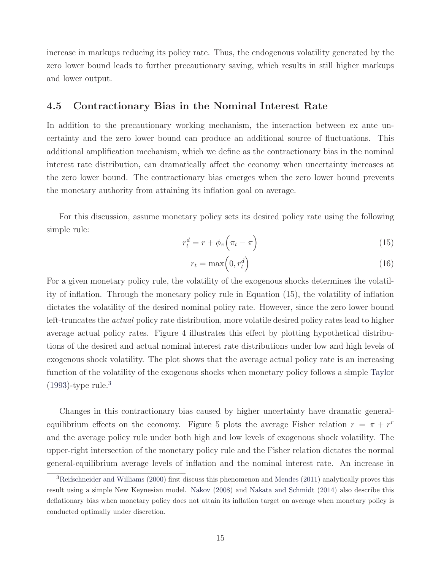increase in markups reducing its policy rate. Thus, the endogenous volatility generated by the zero lower bound leads to further precautionary saving, which results in still higher markups and lower output.

### 4.5 Contractionary Bias in the Nominal Interest Rate

In addition to the precautionary working mechanism, the interaction between ex ante uncertainty and the zero lower bound can produce an additional source of fluctuations. This additional amplification mechanism, which we define as the contractionary bias in the nominal interest rate distribution, can dramatically affect the economy when uncertainty increases at the zero lower bound. The contractionary bias emerges when the zero lower bound prevents the monetary authority from attaining its inflation goal on average.

For this discussion, assume monetary policy sets its desired policy rate using the following simple rule:

$$
r_t^d = r + \phi_\pi \left(\pi_t - \pi\right) \tag{15}
$$

$$
r_t = \max\left(0, r_t^d\right) \tag{16}
$$

For a given monetary policy rule, the volatility of the exogenous shocks determines the volatility of inflation. Through the monetary policy rule in Equation (15), the volatility of inflation dictates the volatility of the desired nominal policy rate. However, since the zero lower bound left-truncates the *actual* policy rate distribution, more volatile desired policy rates lead to higher average actual policy rates. Figure 4 illustrates this effect by plotting hypothetical distributions of the desired and actual nominal interest rate distributions under low and high levels of exogenous shock volatility. The plot shows that the average actual policy rate is an increasing function of the volatility of the exogenous shocks when monetary policy follows a simple Taylor  $(1993)$ -type rule.<sup>3</sup>

Changes in this contractionary bias caused by higher uncertainty have dramatic generalequilibrium effects on the economy. Figure 5 plots the average Fisher relation  $r = \pi + r^r$ and the average policy rule under both high and low levels of exogenous shock volatility. The upper-right intersection of the monetary policy rule and the Fisher relation dictates the normal general-equilibrium average levels of inflation and the nominal interest rate. An increase in

<sup>&</sup>lt;sup>3</sup>Reifschneider and Williams (2000) first discuss this phenomenon and Mendes (2011) analytically proves this result using a simple New Keynesian model. Nakov (2008) and Nakata and Schmidt (2014) also describe this deflationary bias when monetary policy does not attain its inflation target on average when monetary policy is conducted optimally under discretion.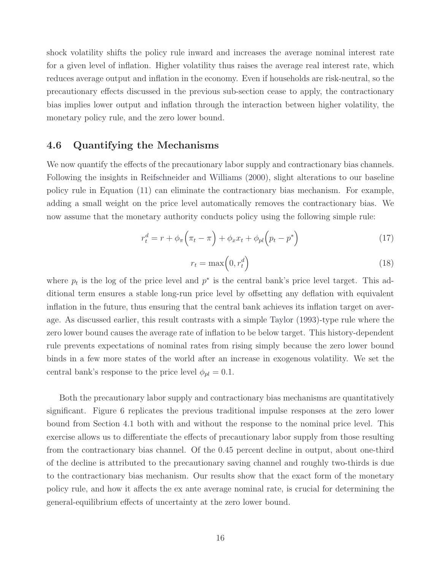shock volatility shifts the policy rule inward and increases the average nominal interest rate for a given level of inflation. Higher volatility thus raises the average real interest rate, which reduces average output and inflation in the economy. Even if households are risk-neutral, so the precautionary effects discussed in the previous sub-section cease to apply, the contractionary bias implies lower output and inflation through the interaction between higher volatility, the monetary policy rule, and the zero lower bound.

#### 4.6 Quantifying the Mechanisms

We now quantify the effects of the precautionary labor supply and contractionary bias channels. Following the insights in Reifschneider and Williams (2000), slight alterations to our baseline policy rule in Equation (11) can eliminate the contractionary bias mechanism. For example, adding a small weight on the price level automatically removes the contractionary bias. We now assume that the monetary authority conducts policy using the following simple rule:

$$
r_t^d = r + \phi_\pi \left(\pi_t - \pi\right) + \phi_x x_t + \phi_{pl} \left(p_t - p^*\right) \tag{17}
$$

$$
r_t = \max\left(0, r_t^d\right) \tag{18}
$$

where  $p_t$  is the log of the price level and  $p^*$  is the central bank's price level target. This additional term ensures a stable long-run price level by offsetting any deflation with equivalent inflation in the future, thus ensuring that the central bank achieves its inflation target on average. As discussed earlier, this result contrasts with a simple Taylor (1993)-type rule where the zero lower bound causes the average rate of inflation to be below target. This history-dependent rule prevents expectations of nominal rates from rising simply because the zero lower bound binds in a few more states of the world after an increase in exogenous volatility. We set the central bank's response to the price level  $\phi_{pl} = 0.1$ .

Both the precautionary labor supply and contractionary bias mechanisms are quantitatively significant. Figure 6 replicates the previous traditional impulse responses at the zero lower bound from Section 4.1 both with and without the response to the nominal price level. This exercise allows us to differentiate the effects of precautionary labor supply from those resulting from the contractionary bias channel. Of the 0.45 percent decline in output, about one-third of the decline is attributed to the precautionary saving channel and roughly two-thirds is due to the contractionary bias mechanism. Our results show that the exact form of the monetary policy rule, and how it affects the ex ante average nominal rate, is crucial for determining the general-equilibrium effects of uncertainty at the zero lower bound.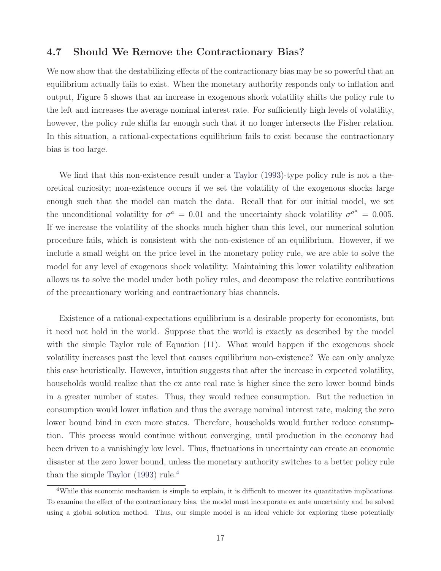#### 4.7 Should We Remove the Contractionary Bias?

We now show that the destabilizing effects of the contractionary bias may be so powerful that an equilibrium actually fails to exist. When the monetary authority responds only to inflation and output, Figure 5 shows that an increase in exogenous shock volatility shifts the policy rule to the left and increases the average nominal interest rate. For sufficiently high levels of volatility, however, the policy rule shifts far enough such that it no longer intersects the Fisher relation. In this situation, a rational-expectations equilibrium fails to exist because the contractionary bias is too large.

We find that this non-existence result under a Taylor (1993)-type policy rule is not a theoretical curiosity; non-existence occurs if we set the volatility of the exogenous shocks large enough such that the model can match the data. Recall that for our initial model, we set the unconditional volatility for  $\sigma^a = 0.01$  and the uncertainty shock volatility  $\sigma^{\sigma^a} = 0.005$ . If we increase the volatility of the shocks much higher than this level, our numerical solution procedure fails, which is consistent with the non-existence of an equilibrium. However, if we include a small weight on the price level in the monetary policy rule, we are able to solve the model for any level of exogenous shock volatility. Maintaining this lower volatility calibration allows us to solve the model under both policy rules, and decompose the relative contributions of the precautionary working and contractionary bias channels.

Existence of a rational-expectations equilibrium is a desirable property for economists, but it need not hold in the world. Suppose that the world is exactly as described by the model with the simple Taylor rule of Equation  $(11)$ . What would happen if the exogenous shock volatility increases past the level that causes equilibrium non-existence? We can only analyze this case heuristically. However, intuition suggests that after the increase in expected volatility, households would realize that the ex ante real rate is higher since the zero lower bound binds in a greater number of states. Thus, they would reduce consumption. But the reduction in consumption would lower inflation and thus the average nominal interest rate, making the zero lower bound bind in even more states. Therefore, households would further reduce consumption. This process would continue without converging, until production in the economy had been driven to a vanishingly low level. Thus, fluctuations in uncertainty can create an economic disaster at the zero lower bound, unless the monetary authority switches to a better policy rule than the simple Taylor  $(1993)$  rule.<sup>4</sup>

<sup>&</sup>lt;sup>4</sup>While this economic mechanism is simple to explain, it is difficult to uncover its quantitative implications. To examine the effect of the contractionary bias, the model must incorporate ex ante uncertainty and be solved using a global solution method. Thus, our simple model is an ideal vehicle for exploring these potentially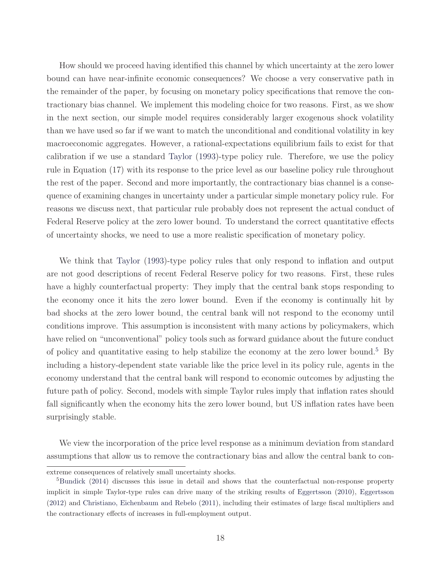How should we proceed having identified this channel by which uncertainty at the zero lower bound can have near-infinite economic consequences? We choose a very conservative path in the remainder of the paper, by focusing on monetary policy specifications that remove the contractionary bias channel. We implement this modeling choice for two reasons. First, as we show in the next section, our simple model requires considerably larger exogenous shock volatility than we have used so far if we want to match the unconditional and conditional volatility in key macroeconomic aggregates. However, a rational-expectations equilibrium fails to exist for that calibration if we use a standard Taylor (1993)-type policy rule. Therefore, we use the policy rule in Equation (17) with its response to the price level as our baseline policy rule throughout the rest of the paper. Second and more importantly, the contractionary bias channel is a consequence of examining changes in uncertainty under a particular simple monetary policy rule. For reasons we discuss next, that particular rule probably does not represent the actual conduct of Federal Reserve policy at the zero lower bound. To understand the correct quantitative effects of uncertainty shocks, we need to use a more realistic specification of monetary policy.

We think that Taylor (1993)-type policy rules that only respond to inflation and output are not good descriptions of recent Federal Reserve policy for two reasons. First, these rules have a highly counterfactual property: They imply that the central bank stops responding to the economy once it hits the zero lower bound. Even if the economy is continually hit by bad shocks at the zero lower bound, the central bank will not respond to the economy until conditions improve. This assumption is inconsistent with many actions by policymakers, which have relied on "unconventional" policy tools such as forward guidance about the future conduct of policy and quantitative easing to help stabilize the economy at the zero lower bound.<sup>5</sup> By including a history-dependent state variable like the price level in its policy rule, agents in the economy understand that the central bank will respond to economic outcomes by adjusting the future path of policy. Second, models with simple Taylor rules imply that inflation rates should fall significantly when the economy hits the zero lower bound, but US inflation rates have been surprisingly stable.

We view the incorporation of the price level response as a minimum deviation from standard assumptions that allow us to remove the contractionary bias and allow the central bank to con-

extreme consequences of relatively small uncertainty shocks.

 ${}^{5}$ Bundick (2014) discusses this issue in detail and shows that the counterfactual non-response property implicit in simple Taylor-type rules can drive many of the striking results of Eggertsson (2010), Eggertsson (2012) and Christiano, Eichenbaum and Rebelo (2011), including their estimates of large fiscal multipliers and the contractionary effects of increases in full-employment output.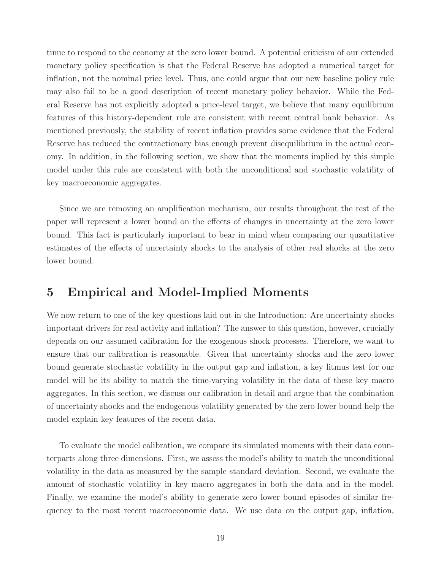tinue to respond to the economy at the zero lower bound. A potential criticism of our extended monetary policy specification is that the Federal Reserve has adopted a numerical target for inflation, not the nominal price level. Thus, one could argue that our new baseline policy rule may also fail to be a good description of recent monetary policy behavior. While the Federal Reserve has not explicitly adopted a price-level target, we believe that many equilibrium features of this history-dependent rule are consistent with recent central bank behavior. As mentioned previously, the stability of recent inflation provides some evidence that the Federal Reserve has reduced the contractionary bias enough prevent disequilibrium in the actual economy. In addition, in the following section, we show that the moments implied by this simple model under this rule are consistent with both the unconditional and stochastic volatility of key macroeconomic aggregates.

Since we are removing an amplification mechanism, our results throughout the rest of the paper will represent a lower bound on the effects of changes in uncertainty at the zero lower bound. This fact is particularly important to bear in mind when comparing our quantitative estimates of the effects of uncertainty shocks to the analysis of other real shocks at the zero lower bound.

## 5 Empirical and Model-Implied Moments

We now return to one of the key questions laid out in the Introduction: Are uncertainty shocks important drivers for real activity and inflation? The answer to this question, however, crucially depends on our assumed calibration for the exogenous shock processes. Therefore, we want to ensure that our calibration is reasonable. Given that uncertainty shocks and the zero lower bound generate stochastic volatility in the output gap and inflation, a key litmus test for our model will be its ability to match the time-varying volatility in the data of these key macro aggregates. In this section, we discuss our calibration in detail and argue that the combination of uncertainty shocks and the endogenous volatility generated by the zero lower bound help the model explain key features of the recent data.

To evaluate the model calibration, we compare its simulated moments with their data counterparts along three dimensions. First, we assess the model's ability to match the unconditional volatility in the data as measured by the sample standard deviation. Second, we evaluate the amount of stochastic volatility in key macro aggregates in both the data and in the model. Finally, we examine the model's ability to generate zero lower bound episodes of similar frequency to the most recent macroeconomic data. We use data on the output gap, inflation,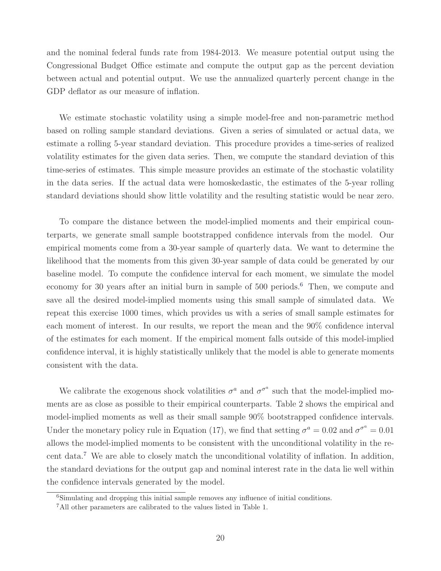and the nominal federal funds rate from 1984-2013. We measure potential output using the Congressional Budget Office estimate and compute the output gap as the percent deviation between actual and potential output. We use the annualized quarterly percent change in the GDP deflator as our measure of inflation.

We estimate stochastic volatility using a simple model-free and non-parametric method based on rolling sample standard deviations. Given a series of simulated or actual data, we estimate a rolling 5-year standard deviation. This procedure provides a time-series of realized volatility estimates for the given data series. Then, we compute the standard deviation of this time-series of estimates. This simple measure provides an estimate of the stochastic volatility in the data series. If the actual data were homoskedastic, the estimates of the 5-year rolling standard deviations should show little volatility and the resulting statistic would be near zero.

To compare the distance between the model-implied moments and their empirical counterparts, we generate small sample bootstrapped confidence intervals from the model. Our empirical moments come from a 30-year sample of quarterly data. We want to determine the likelihood that the moments from this given 30-year sample of data could be generated by our baseline model. To compute the confidence interval for each moment, we simulate the model economy for 30 years after an initial burn in sample of 500 periods.<sup>6</sup> Then, we compute and save all the desired model-implied moments using this small sample of simulated data. We repeat this exercise 1000 times, which provides us with a series of small sample estimates for each moment of interest. In our results, we report the mean and the 90% confidence interval of the estimates for each moment. If the empirical moment falls outside of this model-implied confidence interval, it is highly statistically unlikely that the model is able to generate moments consistent with the data.

We calibrate the exogenous shock volatilities  $\sigma^a$  and  $\sigma^{\sigma^a}$  such that the model-implied moments are as close as possible to their empirical counterparts. Table 2 shows the empirical and model-implied moments as well as their small sample 90% bootstrapped confidence intervals. Under the monetary policy rule in Equation (17), we find that setting  $\sigma^a = 0.02$  and  $\sigma^{\sigma^a} = 0.01$ allows the model-implied moments to be consistent with the unconditional volatility in the recent data.<sup>7</sup> We are able to closely match the unconditional volatility of inflation. In addition, the standard deviations for the output gap and nominal interest rate in the data lie well within the confidence intervals generated by the model.

<sup>&</sup>lt;sup>6</sup>Simulating and dropping this initial sample removes any influence of initial conditions.

<sup>7</sup>All other parameters are calibrated to the values listed in Table 1.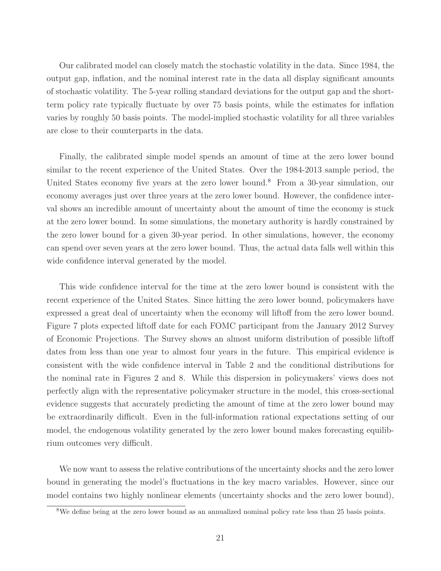Our calibrated model can closely match the stochastic volatility in the data. Since 1984, the output gap, inflation, and the nominal interest rate in the data all display significant amounts of stochastic volatility. The 5-year rolling standard deviations for the output gap and the shortterm policy rate typically fluctuate by over 75 basis points, while the estimates for inflation varies by roughly 50 basis points. The model-implied stochastic volatility for all three variables are close to their counterparts in the data.

Finally, the calibrated simple model spends an amount of time at the zero lower bound similar to the recent experience of the United States. Over the 1984-2013 sample period, the United States economy five years at the zero lower bound.<sup>8</sup> From a 30-year simulation, our economy averages just over three years at the zero lower bound. However, the confidence interval shows an incredible amount of uncertainty about the amount of time the economy is stuck at the zero lower bound. In some simulations, the monetary authority is hardly constrained by the zero lower bound for a given 30-year period. In other simulations, however, the economy can spend over seven years at the zero lower bound. Thus, the actual data falls well within this wide confidence interval generated by the model.

This wide confidence interval for the time at the zero lower bound is consistent with the recent experience of the United States. Since hitting the zero lower bound, policymakers have expressed a great deal of uncertainty when the economy will liftoff from the zero lower bound. Figure 7 plots expected liftoff date for each FOMC participant from the January 2012 Survey of Economic Projections. The Survey shows an almost uniform distribution of possible liftoff dates from less than one year to almost four years in the future. This empirical evidence is consistent with the wide confidence interval in Table 2 and the conditional distributions for the nominal rate in Figures 2 and 8. While this dispersion in policymakers' views does not perfectly align with the representative policymaker structure in the model, this cross-sectional evidence suggests that accurately predicting the amount of time at the zero lower bound may be extraordinarily difficult. Even in the full-information rational expectations setting of our model, the endogenous volatility generated by the zero lower bound makes forecasting equilibrium outcomes very difficult.

We now want to assess the relative contributions of the uncertainty shocks and the zero lower bound in generating the model's fluctuations in the key macro variables. However, since our model contains two highly nonlinear elements (uncertainty shocks and the zero lower bound),

<sup>&</sup>lt;sup>8</sup>We define being at the zero lower bound as an annualized nominal policy rate less than 25 basis points.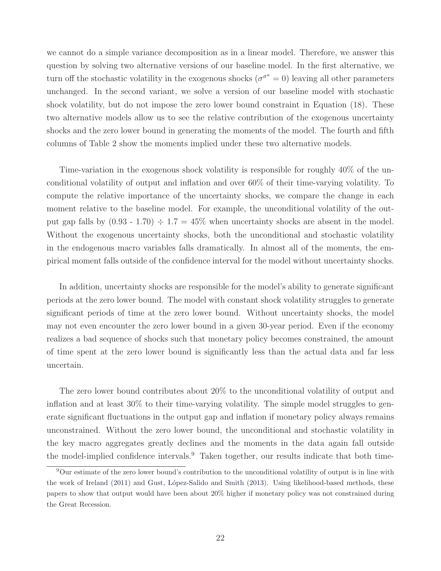we cannot do a simple variance decomposition as in a linear model. Therefore, we answer this question by solving two alternative versions of our baseline model. In the first alternative, we turn off the stochastic volatility in the exogenous shocks  $(\sigma^{\sigma^a} = 0)$  leaving all other parameters unchanged. In the second variant, we solve a version of our baseline model with stochastic shock volatility, but do not impose the zero lower bound constraint in Equation (18). These two alternative models allow us to see the relative contribution of the exogenous uncertainty shocks and the zero lower bound in generating the moments of the model. The fourth and fifth columns of Table 2 show the moments implied under these two alternative models.

Time-variation in the exogenous shock volatility is responsible for roughly 40% of the unconditional volatility of output and inflation and over 60% of their time-varying volatility. To compute the relative importance of the uncertainty shocks, we compare the change in each moment relative to the baseline model. For example, the unconditional volatility of the output gap falls by  $(0.93 - 1.70) \div 1.7 = 45\%$  when uncertainty shocks are absent in the model. Without the exogenous uncertainty shocks, both the unconditional and stochastic volatility in the endogenous macro variables falls dramatically. In almost all of the moments, the empirical moment falls outside of the confidence interval for the model without uncertainty shocks.

In addition, uncertainty shocks are responsible for the model's ability to generate significant periods at the zero lower bound. The model with constant shock volatility struggles to generate significant periods of time at the zero lower bound. Without uncertainty shocks, the model may not even encounter the zero lower bound in a given 30-year period. Even if the economy realizes a bad sequence of shocks such that monetary policy becomes constrained, the amount of time spent at the zero lower bound is significantly less than the actual data and far less uncertain.

The zero lower bound contributes about 20% to the unconditional volatility of output and inflation and at least 30% to their time-varying volatility. The simple model struggles to generate significant fluctuations in the output gap and inflation if monetary policy always remains unconstrained. Without the zero lower bound, the unconditional and stochastic volatility in the key macro aggregates greatly declines and the moments in the data again fall outside the model-implied confidence intervals.<sup>9</sup> Taken together, our results indicate that both time-

 $\overline{90}$ ur estimate of the zero lower bound's contribution to the unconditional volatility of output is in line with the work of Ireland (2011) and Gust, López-Salido and Smith (2013). Using likelihood-based methods, these papers to show that output would have been about 20% higher if monetary policy was not constrained during the Great Recession.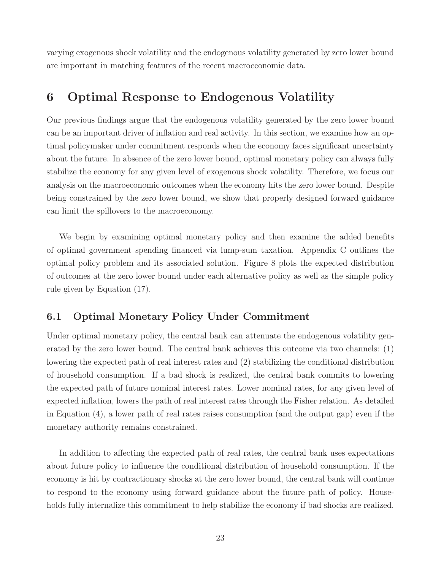varying exogenous shock volatility and the endogenous volatility generated by zero lower bound are important in matching features of the recent macroeconomic data.

# 6 Optimal Response to Endogenous Volatility

Our previous findings argue that the endogenous volatility generated by the zero lower bound can be an important driver of inflation and real activity. In this section, we examine how an optimal policymaker under commitment responds when the economy faces significant uncertainty about the future. In absence of the zero lower bound, optimal monetary policy can always fully stabilize the economy for any given level of exogenous shock volatility. Therefore, we focus our analysis on the macroeconomic outcomes when the economy hits the zero lower bound. Despite being constrained by the zero lower bound, we show that properly designed forward guidance can limit the spillovers to the macroeconomy.

We begin by examining optimal monetary policy and then examine the added benefits of optimal government spending financed via lump-sum taxation. Appendix C outlines the optimal policy problem and its associated solution. Figure 8 plots the expected distribution of outcomes at the zero lower bound under each alternative policy as well as the simple policy rule given by Equation (17).

### 6.1 Optimal Monetary Policy Under Commitment

Under optimal monetary policy, the central bank can attenuate the endogenous volatility generated by the zero lower bound. The central bank achieves this outcome via two channels: (1) lowering the expected path of real interest rates and (2) stabilizing the conditional distribution of household consumption. If a bad shock is realized, the central bank commits to lowering the expected path of future nominal interest rates. Lower nominal rates, for any given level of expected inflation, lowers the path of real interest rates through the Fisher relation. As detailed in Equation (4), a lower path of real rates raises consumption (and the output gap) even if the monetary authority remains constrained.

In addition to affecting the expected path of real rates, the central bank uses expectations about future policy to influence the conditional distribution of household consumption. If the economy is hit by contractionary shocks at the zero lower bound, the central bank will continue to respond to the economy using forward guidance about the future path of policy. Households fully internalize this commitment to help stabilize the economy if bad shocks are realized.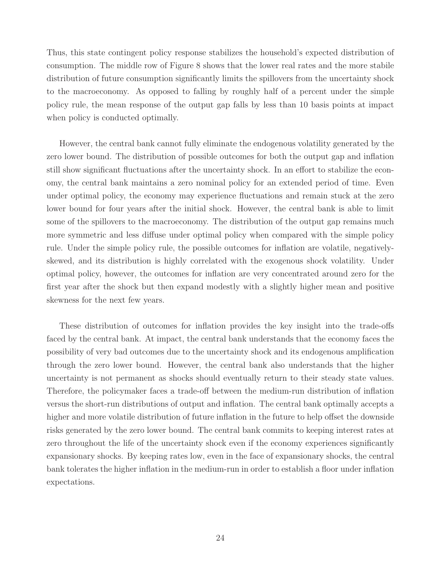Thus, this state contingent policy response stabilizes the household's expected distribution of consumption. The middle row of Figure 8 shows that the lower real rates and the more stabile distribution of future consumption significantly limits the spillovers from the uncertainty shock to the macroeconomy. As opposed to falling by roughly half of a percent under the simple policy rule, the mean response of the output gap falls by less than 10 basis points at impact when policy is conducted optimally.

However, the central bank cannot fully eliminate the endogenous volatility generated by the zero lower bound. The distribution of possible outcomes for both the output gap and inflation still show significant fluctuations after the uncertainty shock. In an effort to stabilize the economy, the central bank maintains a zero nominal policy for an extended period of time. Even under optimal policy, the economy may experience fluctuations and remain stuck at the zero lower bound for four years after the initial shock. However, the central bank is able to limit some of the spillovers to the macroeconomy. The distribution of the output gap remains much more symmetric and less diffuse under optimal policy when compared with the simple policy rule. Under the simple policy rule, the possible outcomes for inflation are volatile, negativelyskewed, and its distribution is highly correlated with the exogenous shock volatility. Under optimal policy, however, the outcomes for inflation are very concentrated around zero for the first year after the shock but then expand modestly with a slightly higher mean and positive skewness for the next few years.

These distribution of outcomes for inflation provides the key insight into the trade-offs faced by the central bank. At impact, the central bank understands that the economy faces the possibility of very bad outcomes due to the uncertainty shock and its endogenous amplification through the zero lower bound. However, the central bank also understands that the higher uncertainty is not permanent as shocks should eventually return to their steady state values. Therefore, the policymaker faces a trade-off between the medium-run distribution of inflation versus the short-run distributions of output and inflation. The central bank optimally accepts a higher and more volatile distribution of future inflation in the future to help offset the downside risks generated by the zero lower bound. The central bank commits to keeping interest rates at zero throughout the life of the uncertainty shock even if the economy experiences significantly expansionary shocks. By keeping rates low, even in the face of expansionary shocks, the central bank tolerates the higher inflation in the medium-run in order to establish a floor under inflation expectations.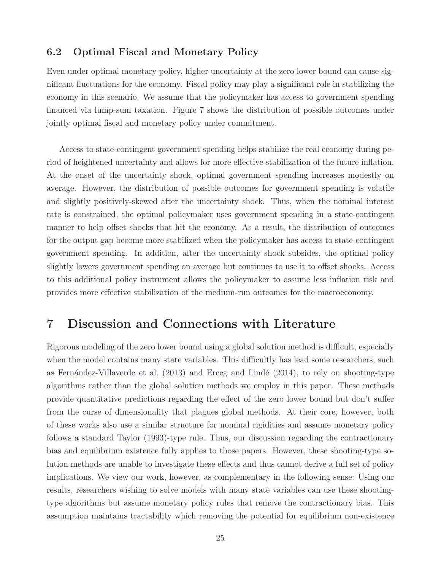### 6.2 Optimal Fiscal and Monetary Policy

Even under optimal monetary policy, higher uncertainty at the zero lower bound can cause significant fluctuations for the economy. Fiscal policy may play a significant role in stabilizing the economy in this scenario. We assume that the policymaker has access to government spending financed via lump-sum taxation. Figure 7 shows the distribution of possible outcomes under jointly optimal fiscal and monetary policy under commitment.

Access to state-contingent government spending helps stabilize the real economy during period of heightened uncertainty and allows for more effective stabilization of the future inflation. At the onset of the uncertainty shock, optimal government spending increases modestly on average. However, the distribution of possible outcomes for government spending is volatile and slightly positively-skewed after the uncertainty shock. Thus, when the nominal interest rate is constrained, the optimal policymaker uses government spending in a state-contingent manner to help offset shocks that hit the economy. As a result, the distribution of outcomes for the output gap become more stabilized when the policymaker has access to state-contingent government spending. In addition, after the uncertainty shock subsides, the optimal policy slightly lowers government spending on average but continues to use it to offset shocks. Access to this additional policy instrument allows the policymaker to assume less inflation risk and provides more effective stabilization of the medium-run outcomes for the macroeconomy.

### 7 Discussion and Connections with Literature

Rigorous modeling of the zero lower bound using a global solution method is difficult, especially when the model contains many state variables. This difficultly has lead some researchers, such as Fernández-Villaverde et al.  $(2013)$  and Erceg and Lindé  $(2014)$ , to rely on shooting-type algorithms rather than the global solution methods we employ in this paper. These methods provide quantitative predictions regarding the effect of the zero lower bound but don't suffer from the curse of dimensionality that plagues global methods. At their core, however, both of these works also use a similar structure for nominal rigidities and assume monetary policy follows a standard Taylor (1993)-type rule. Thus, our discussion regarding the contractionary bias and equilibrium existence fully applies to those papers. However, these shooting-type solution methods are unable to investigate these effects and thus cannot derive a full set of policy implications. We view our work, however, as complementary in the following sense: Using our results, researchers wishing to solve models with many state variables can use these shootingtype algorithms but assume monetary policy rules that remove the contractionary bias. This assumption maintains tractability which removing the potential for equilibrium non-existence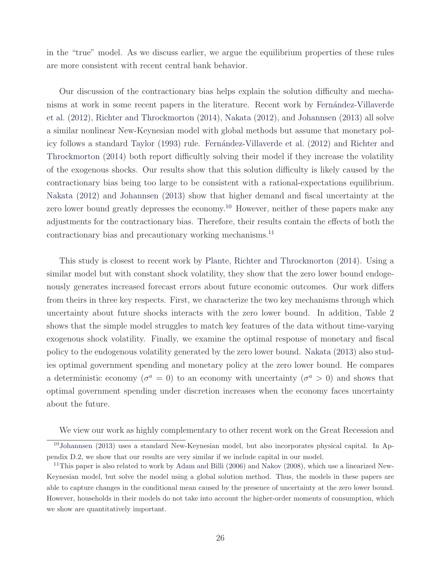in the "true" model. As we discuss earlier, we argue the equilibrium properties of these rules are more consistent with recent central bank behavior.

Our discussion of the contractionary bias helps explain the solution difficulty and mechanisms at work in some recent papers in the literature. Recent work by Fernandez-Villaverde et al. (2012), Richter and Throckmorton (2014), Nakata (2012), and Johannsen (2013) all solve a similar nonlinear New-Keynesian model with global methods but assume that monetary policy follows a standard Taylor (1993) rule. Fernández-Villaverde et al. (2012) and Richter and Throckmorton (2014) both report difficultly solving their model if they increase the volatility of the exogenous shocks. Our results show that this solution difficulty is likely caused by the contractionary bias being too large to be consistent with a rational-expectations equilibrium. Nakata (2012) and Johannsen (2013) show that higher demand and fiscal uncertainty at the zero lower bound greatly depresses the economy.<sup>10</sup> However, neither of these papers make any adjustments for the contractionary bias. Therefore, their results contain the effects of both the  $\rm{contractionary}$  bias and precautionary working mechanisms.<sup>11</sup>

This study is closest to recent work by Plante, Richter and Throckmorton (2014). Using a similar model but with constant shock volatility, they show that the zero lower bound endogenously generates increased forecast errors about future economic outcomes. Our work differs from theirs in three key respects. First, we characterize the two key mechanisms through which uncertainty about future shocks interacts with the zero lower bound. In addition, Table 2 shows that the simple model struggles to match key features of the data without time-varying exogenous shock volatility. Finally, we examine the optimal response of monetary and fiscal policy to the endogenous volatility generated by the zero lower bound. Nakata (2013) also studies optimal government spending and monetary policy at the zero lower bound. He compares a deterministic economy ( $\sigma^a = 0$ ) to an economy with uncertainty ( $\sigma^a > 0$ ) and shows that optimal government spending under discretion increases when the economy faces uncertainty about the future.

We view our work as highly complementary to other recent work on the Great Recession and

<sup>10</sup>Johannsen (2013) uses a standard New-Keynesian model, but also incorporates physical capital. In Appendix D.2, we show that our results are very similar if we include capital in our model.

<sup>&</sup>lt;sup>11</sup>This paper is also related to work by Adam and Billi  $(2006)$  and Nakov  $(2008)$ , which use a linearized New-Keynesian model, but solve the model using a global solution method. Thus, the models in these papers are able to capture changes in the conditional mean caused by the presence of uncertainty at the zero lower bound. However, households in their models do not take into account the higher-order moments of consumption, which we show are quantitatively important.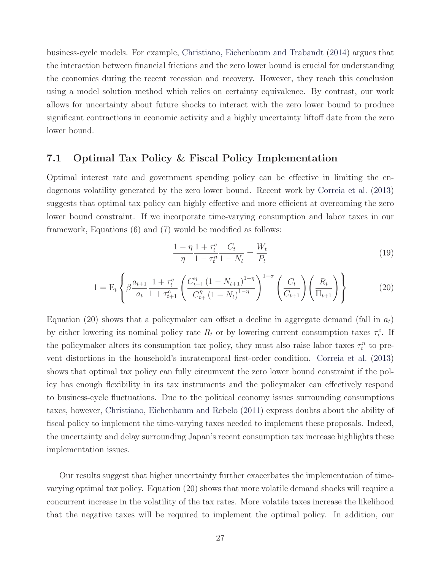business-cycle models. For example, Christiano, Eichenbaum and Trabandt (2014) argues that the interaction between financial frictions and the zero lower bound is crucial for understanding the economics during the recent recession and recovery. However, they reach this conclusion using a model solution method which relies on certainty equivalence. By contrast, our work allows for uncertainty about future shocks to interact with the zero lower bound to produce significant contractions in economic activity and a highly uncertainty liftoff date from the zero lower bound.

#### 7.1 Optimal Tax Policy & Fiscal Policy Implementation

Optimal interest rate and government spending policy can be effective in limiting the endogenous volatility generated by the zero lower bound. Recent work by Correia et al. (2013) suggests that optimal tax policy can highly effective and more efficient at overcoming the zero lower bound constraint. If we incorporate time-varying consumption and labor taxes in our framework, Equations (6) and (7) would be modified as follows:

$$
\frac{1-\eta}{\eta} \frac{1+\tau_t^c}{1-\tau_t^n} \frac{C_t}{1-N_t} = \frac{W_t}{P_t}
$$
\n(19)

$$
1 = E_t \left\{ \beta \frac{a_{t+1}}{a_t} \frac{1 + \tau_t^c}{1 + \tau_{t+1}^c} \left( \frac{C_{t+1}^{\eta} (1 - N_{t+1})^{1 - \eta}}{C_{t+1}^{\eta} (1 - N_t)^{1 - \eta}} \right)^{1 - \sigma} \left( \frac{C_t}{C_{t+1}} \right) \left( \frac{R_t}{\Pi_{t+1}} \right) \right\}
$$
(20)

Equation (20) shows that a policymaker can offset a decline in aggregate demand (fall in  $a_t$ ) by either lowering its nominal policy rate  $R_t$  or by lowering current consumption taxes  $\tau_t^c$ . If the policymaker alters its consumption tax policy, they must also raise labor taxes  $\tau_t^n$  to prevent distortions in the household's intratemporal first-order condition. Correia et al. (2013) shows that optimal tax policy can fully circumvent the zero lower bound constraint if the policy has enough flexibility in its tax instruments and the policymaker can effectively respond to business-cycle fluctuations. Due to the political economy issues surrounding consumptions taxes, however, Christiano, Eichenbaum and Rebelo (2011) express doubts about the ability of fiscal policy to implement the time-varying taxes needed to implement these proposals. Indeed, the uncertainty and delay surrounding Japan's recent consumption tax increase highlights these implementation issues.

Our results suggest that higher uncertainty further exacerbates the implementation of timevarying optimal tax policy. Equation (20) shows that more volatile demand shocks will require a concurrent increase in the volatility of the tax rates. More volatile taxes increase the likelihood that the negative taxes will be required to implement the optimal policy. In addition, our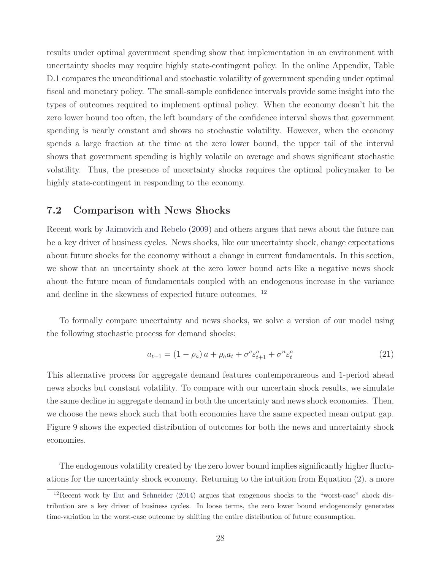results under optimal government spending show that implementation in an environment with uncertainty shocks may require highly state-contingent policy. In the online Appendix, Table D.1 compares the unconditional and stochastic volatility of government spending under optimal fiscal and monetary policy. The small-sample confidence intervals provide some insight into the types of outcomes required to implement optimal policy. When the economy doesn't hit the zero lower bound too often, the left boundary of the confidence interval shows that government spending is nearly constant and shows no stochastic volatility. However, when the economy spends a large fraction at the time at the zero lower bound, the upper tail of the interval shows that government spending is highly volatile on average and shows significant stochastic volatility. Thus, the presence of uncertainty shocks requires the optimal policymaker to be highly state-contingent in responding to the economy.

### 7.2 Comparison with News Shocks

Recent work by Jaimovich and Rebelo (2009) and others argues that news about the future can be a key driver of business cycles. News shocks, like our uncertainty shock, change expectations about future shocks for the economy without a change in current fundamentals. In this section, we show that an uncertainty shock at the zero lower bound acts like a negative news shock about the future mean of fundamentals coupled with an endogenous increase in the variance and decline in the skewness of expected future outcomes. <sup>12</sup>

To formally compare uncertainty and news shocks, we solve a version of our model using the following stochastic process for demand shocks:

$$
a_{t+1} = (1 - \rho_a) a + \rho_a a_t + \sigma^c \varepsilon_{t+1}^a + \sigma^n \varepsilon_t^a \tag{21}
$$

This alternative process for aggregate demand features contemporaneous and 1-period ahead news shocks but constant volatility. To compare with our uncertain shock results, we simulate the same decline in aggregate demand in both the uncertainty and news shock economies. Then, we choose the news shock such that both economies have the same expected mean output gap. Figure 9 shows the expected distribution of outcomes for both the news and uncertainty shock economies.

The endogenous volatility created by the zero lower bound implies significantly higher fluctuations for the uncertainty shock economy. Returning to the intuition from Equation (2), a more

<sup>12</sup>Recent work by Ilut and Schneider (2014) argues that exogenous shocks to the "worst-case" shock distribution are a key driver of business cycles. In loose terms, the zero lower bound endogenously generates time-variation in the worst-case outcome by shifting the entire distribution of future consumption.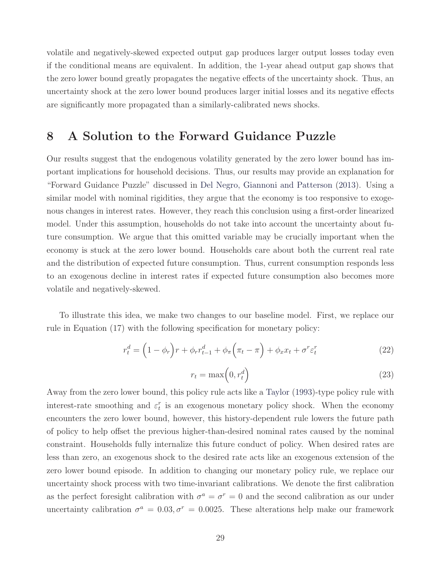volatile and negatively-skewed expected output gap produces larger output losses today even if the conditional means are equivalent. In addition, the 1-year ahead output gap shows that the zero lower bound greatly propagates the negative effects of the uncertainty shock. Thus, an uncertainty shock at the zero lower bound produces larger initial losses and its negative effects are significantly more propagated than a similarly-calibrated news shocks.

### 8 A Solution to the Forward Guidance Puzzle

Our results suggest that the endogenous volatility generated by the zero lower bound has important implications for household decisions. Thus, our results may provide an explanation for "Forward Guidance Puzzle" discussed in Del Negro, Giannoni and Patterson (2013). Using a similar model with nominal rigidities, they argue that the economy is too responsive to exogenous changes in interest rates. However, they reach this conclusion using a first-order linearized model. Under this assumption, households do not take into account the uncertainty about future consumption. We argue that this omitted variable may be crucially important when the economy is stuck at the zero lower bound. Households care about both the current real rate and the distribution of expected future consumption. Thus, current consumption responds less to an exogenous decline in interest rates if expected future consumption also becomes more volatile and negatively-skewed.

To illustrate this idea, we make two changes to our baseline model. First, we replace our rule in Equation (17) with the following specification for monetary policy:

$$
r_t^d = \left(1 - \phi_r\right)r + \phi_r r_{t-1}^d + \phi_\pi \left(\pi_t - \pi\right) + \phi_x x_t + \sigma^r \varepsilon_t^r \tag{22}
$$

$$
r_t = \max\left(0, r_t^d\right) \tag{23}
$$

Away from the zero lower bound, this policy rule acts like a Taylor (1993)-type policy rule with interest-rate smoothing and  $\varepsilon_t^r$  is an exogenous monetary policy shock. When the economy encounters the zero lower bound, however, this history-dependent rule lowers the future path of policy to help offset the previous higher-than-desired nominal rates caused by the nominal constraint. Households fully internalize this future conduct of policy. When desired rates are less than zero, an exogenous shock to the desired rate acts like an exogenous extension of the zero lower bound episode. In addition to changing our monetary policy rule, we replace our uncertainty shock process with two time-invariant calibrations. We denote the first calibration as the perfect foresight calibration with  $\sigma^a = \sigma^r = 0$  and the second calibration as our under uncertainty calibration  $\sigma^a = 0.03, \sigma^r = 0.0025$ . These alterations help make our framework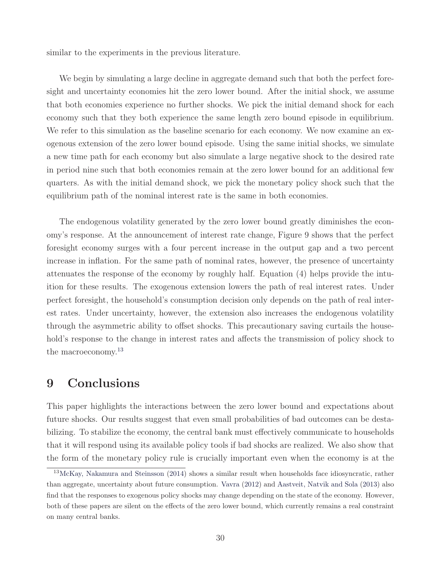similar to the experiments in the previous literature.

We begin by simulating a large decline in aggregate demand such that both the perfect foresight and uncertainty economies hit the zero lower bound. After the initial shock, we assume that both economies experience no further shocks. We pick the initial demand shock for each economy such that they both experience the same length zero bound episode in equilibrium. We refer to this simulation as the baseline scenario for each economy. We now examine an exogenous extension of the zero lower bound episode. Using the same initial shocks, we simulate a new time path for each economy but also simulate a large negative shock to the desired rate in period nine such that both economies remain at the zero lower bound for an additional few quarters. As with the initial demand shock, we pick the monetary policy shock such that the equilibrium path of the nominal interest rate is the same in both economies.

The endogenous volatility generated by the zero lower bound greatly diminishes the economy's response. At the announcement of interest rate change, Figure 9 shows that the perfect foresight economy surges with a four percent increase in the output gap and a two percent increase in inflation. For the same path of nominal rates, however, the presence of uncertainty attenuates the response of the economy by roughly half. Equation (4) helps provide the intuition for these results. The exogenous extension lowers the path of real interest rates. Under perfect foresight, the household's consumption decision only depends on the path of real interest rates. Under uncertainty, however, the extension also increases the endogenous volatility through the asymmetric ability to offset shocks. This precautionary saving curtails the household's response to the change in interest rates and affects the transmission of policy shock to the macroeconomy.<sup>13</sup>

## 9 Conclusions

This paper highlights the interactions between the zero lower bound and expectations about future shocks. Our results suggest that even small probabilities of bad outcomes can be destabilizing. To stabilize the economy, the central bank must effectively communicate to households that it will respond using its available policy tools if bad shocks are realized. We also show that the form of the monetary policy rule is crucially important even when the economy is at the

<sup>13</sup>McKay, Nakamura and Steinsson (2014) shows a similar result when households face idiosyncratic, rather than aggregate, uncertainty about future consumption. Vavra (2012) and Aastveit, Natvik and Sola (2013) also find that the responses to exogenous policy shocks may change depending on the state of the economy. However, both of these papers are silent on the effects of the zero lower bound, which currently remains a real constraint on many central banks.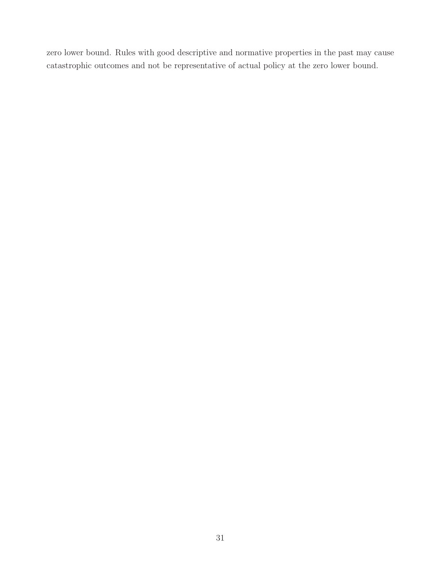zero lower bound. Rules with good descriptive and normative properties in the past may cause catastrophic outcomes and not be representative of actual policy at the zero lower bound.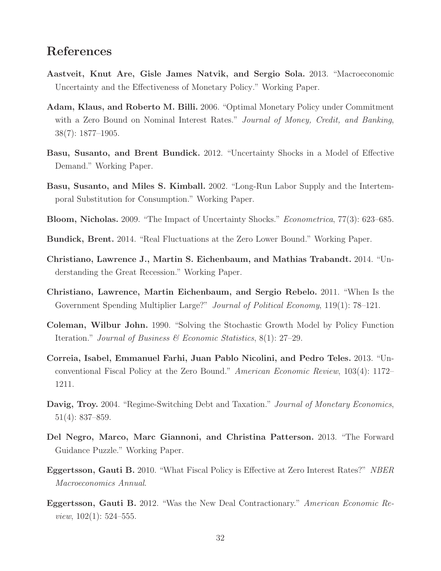# References

- Aastveit, Knut Are, Gisle James Natvik, and Sergio Sola. 2013. "Macroeconomic Uncertainty and the Effectiveness of Monetary Policy." Working Paper.
- Adam, Klaus, and Roberto M. Billi. 2006. "Optimal Monetary Policy under Commitment with a Zero Bound on Nominal Interest Rates." *Journal of Money, Credit, and Banking*, 38(7): 1877–1905.
- Basu, Susanto, and Brent Bundick. 2012. "Uncertainty Shocks in a Model of Effective Demand." Working Paper.
- Basu, Susanto, and Miles S. Kimball. 2002. "Long-Run Labor Supply and the Intertemporal Substitution for Consumption." Working Paper.
- Bloom, Nicholas. 2009. "The Impact of Uncertainty Shocks." *Econometrica*, 77(3): 623–685.
- Bundick, Brent. 2014. "Real Fluctuations at the Zero Lower Bound." Working Paper.
- Christiano, Lawrence J., Martin S. Eichenbaum, and Mathias Trabandt. 2014. "Understanding the Great Recession." Working Paper.
- Christiano, Lawrence, Martin Eichenbaum, and Sergio Rebelo. 2011. "When Is the Government Spending Multiplier Large?" *Journal of Political Economy*, 119(1): 78–121.
- Coleman, Wilbur John. 1990. "Solving the Stochastic Growth Model by Policy Function Iteration." *Journal of Business & Economic Statistics*, 8(1): 27–29.
- Correia, Isabel, Emmanuel Farhi, Juan Pablo Nicolini, and Pedro Teles. 2013. "Unconventional Fiscal Policy at the Zero Bound." *American Economic Review*, 103(4): 1172– 1211.
- Davig, Troy. 2004. "Regime-Switching Debt and Taxation." *Journal of Monetary Economics*, 51(4): 837–859.
- Del Negro, Marco, Marc Giannoni, and Christina Patterson. 2013. "The Forward Guidance Puzzle." Working Paper.
- Eggertsson, Gauti B. 2010. "What Fiscal Policy is Effective at Zero Interest Rates?" *NBER Macroeconomics Annual*.
- Eggertsson, Gauti B. 2012. "Was the New Deal Contractionary." *American Economic Review*, 102(1): 524–555.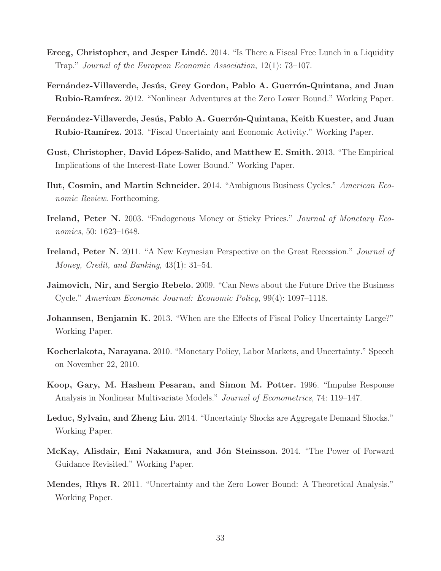- Erceg, Christopher, and Jesper Lindé. 2014. "Is There a Fiscal Free Lunch in a Liquidity Trap." *Journal of the European Economic Association*, 12(1): 73–107.
- Fernández-Villaverde, Jesús, Grey Gordon, Pablo A. Guerrón-Quintana, and Juan **Rubio-Ramírez.** 2012. "Nonlinear Adventures at the Zero Lower Bound." Working Paper.
- Fernández-Villaverde, Jesús, Pablo A. Guerrón-Quintana, Keith Kuester, and Juan Rubio-Ramírez. 2013. "Fiscal Uncertainty and Economic Activity." Working Paper.
- Gust, Christopher, David López-Salido, and Matthew E. Smith. 2013. "The Empirical Implications of the Interest-Rate Lower Bound." Working Paper.
- Ilut, Cosmin, and Martin Schneider. 2014. "Ambiguous Business Cycles." *American Economic Review*. Forthcoming.
- Ireland, Peter N. 2003. "Endogenous Money or Sticky Prices." *Journal of Monetary Economics*, 50: 1623–1648.
- Ireland, Peter N. 2011. "A New Keynesian Perspective on the Great Recession." *Journal of Money, Credit, and Banking*, 43(1): 31–54.
- Jaimovich, Nir, and Sergio Rebelo. 2009. "Can News about the Future Drive the Business Cycle." *American Economic Journal: Economic Policy*, 99(4): 1097–1118.
- **Johannsen, Benjamin K.** 2013. "When are the Effects of Fiscal Policy Uncertainty Large?" Working Paper.
- Kocherlakota, Narayana. 2010. "Monetary Policy, Labor Markets, and Uncertainty." Speech on November 22, 2010.
- Koop, Gary, M. Hashem Pesaran, and Simon M. Potter. 1996. "Impulse Response Analysis in Nonlinear Multivariate Models." *Journal of Econometrics*, 74: 119–147.
- Leduc, Sylvain, and Zheng Liu. 2014. "Uncertainty Shocks are Aggregate Demand Shocks." Working Paper.
- McKay, Alisdair, Emi Nakamura, and Jón Steinsson. 2014. "The Power of Forward Guidance Revisited." Working Paper.
- Mendes, Rhys R. 2011. "Uncertainty and the Zero Lower Bound: A Theoretical Analysis." Working Paper.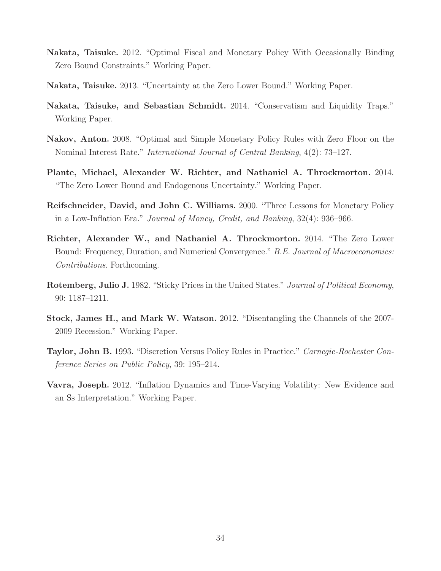- Nakata, Taisuke. 2012. "Optimal Fiscal and Monetary Policy With Occasionally Binding Zero Bound Constraints." Working Paper.
- Nakata, Taisuke. 2013. "Uncertainty at the Zero Lower Bound." Working Paper.
- Nakata, Taisuke, and Sebastian Schmidt. 2014. "Conservatism and Liquidity Traps." Working Paper.
- Nakov, Anton. 2008. "Optimal and Simple Monetary Policy Rules with Zero Floor on the Nominal Interest Rate." *International Journal of Central Banking*, 4(2): 73–127.
- Plante, Michael, Alexander W. Richter, and Nathaniel A. Throckmorton. 2014. "The Zero Lower Bound and Endogenous Uncertainty." Working Paper.
- Reifschneider, David, and John C. Williams. 2000. "Three Lessons for Monetary Policy in a Low-Inflation Era." *Journal of Money, Credit, and Banking*, 32(4): 936–966.
- Richter, Alexander W., and Nathaniel A. Throckmorton. 2014. "The Zero Lower Bound: Frequency, Duration, and Numerical Convergence." *B.E. Journal of Macroeconomics: Contributions*. Forthcoming.
- Rotemberg, Julio J. 1982. "Sticky Prices in the United States." *Journal of Political Economy*, 90: 1187–1211.
- Stock, James H., and Mark W. Watson. 2012. "Disentangling the Channels of the 2007- 2009 Recession." Working Paper.
- Taylor, John B. 1993. "Discretion Versus Policy Rules in Practice." *Carnegie-Rochester Conference Series on Public Policy*, 39: 195–214.
- Vavra, Joseph. 2012. "Inflation Dynamics and Time-Varying Volatility: New Evidence and an Ss Interpretation." Working Paper.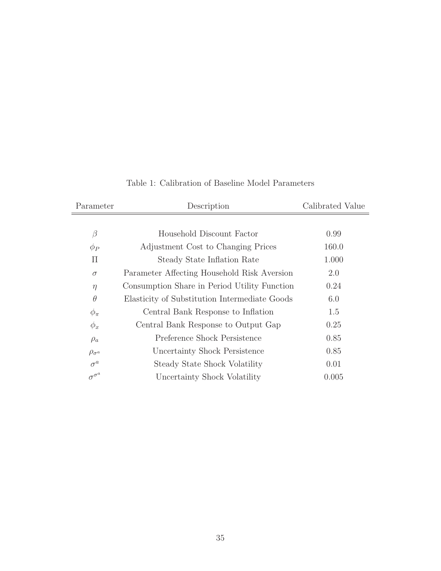| Parameter           | Description                                   | Calibrated Value |
|---------------------|-----------------------------------------------|------------------|
|                     |                                               |                  |
| β                   | Household Discount Factor                     | 0.99             |
| $\phi_P$            | Adjustment Cost to Changing Prices            | 160.0            |
| $\prod$             | Steady State Inflation Rate                   | 1.000            |
| $\sigma$            | Parameter Affecting Household Risk Aversion   | 2.0              |
| $\eta$              | Consumption Share in Period Utility Function  | 0.24             |
| $\theta$            | Elasticity of Substitution Intermediate Goods | 6.0              |
| $\phi_{\pi}$        | Central Bank Response to Inflation            | 1.5              |
| $\phi_x$            | Central Bank Response to Output Gap           | 0.25             |
| $\rho_a$            | Preference Shock Persistence                  | 0.85             |
| $\rho_{\sigma^a}$   | Uncertainty Shock Persistence                 | 0.85             |
| $\sigma^a$          | Steady State Shock Volatility                 | 0.01             |
| $\sigma^{\sigma^a}$ | Uncertainty Shock Volatility                  | 0.005            |

Table 1: Calibration of Baseline Model Parameters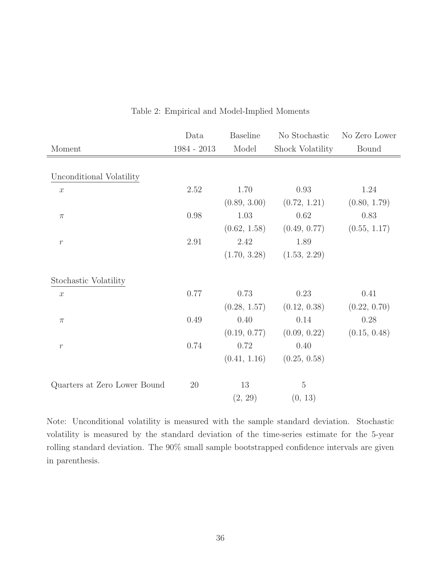|                              | Data          | <b>Baseline</b> | No Stochastic    | No Zero Lower |
|------------------------------|---------------|-----------------|------------------|---------------|
| Moment                       | $1984 - 2013$ | Model           | Shock Volatility | Bound         |
|                              |               |                 |                  |               |
| Unconditional Volatility     |               |                 |                  |               |
| $\boldsymbol{x}$             | 2.52          | 1.70            | 0.93             | 1.24          |
|                              |               | (0.89, 3.00)    | (0.72, 1.21)     | (0.80, 1.79)  |
| $\pi$                        | 0.98          | $1.03\,$        | 0.62             | 0.83          |
|                              |               | (0.62, 1.58)    | (0.49, 0.77)     | (0.55, 1.17)  |
| $\,r\,$                      | 2.91          | 2.42            | 1.89             |               |
|                              |               | (1.70, 3.28)    | (1.53, 2.29)     |               |
| Stochastic Volatility        |               |                 |                  |               |
| $\boldsymbol{x}$             | 0.77          | 0.73            | 0.23             | 0.41          |
|                              |               | (0.28, 1.57)    | (0.12, 0.38)     | (0.22, 0.70)  |
| $\pi$                        | 0.49          | 0.40            | 0.14             | 0.28          |
|                              |               | (0.19, 0.77)    | (0.09, 0.22)     | (0.15, 0.48)  |
| $\,r\,$                      | 0.74          | 0.72            | 0.40             |               |
|                              |               | (0.41, 1.16)    | (0.25, 0.58)     |               |
| Quarters at Zero Lower Bound | 20            | 13              | $\mathbf 5$      |               |
|                              |               | (2, 29)         | (0, 13)          |               |

#### Table 2: Empirical and Model-Implied Moments

Note: Unconditional volatility is measured with the sample standard deviation. Stochastic volatility is measured by the standard deviation of the time-series estimate for the 5-year rolling standard deviation. The 90% small sample bootstrapped confidence intervals are given in parenthesis.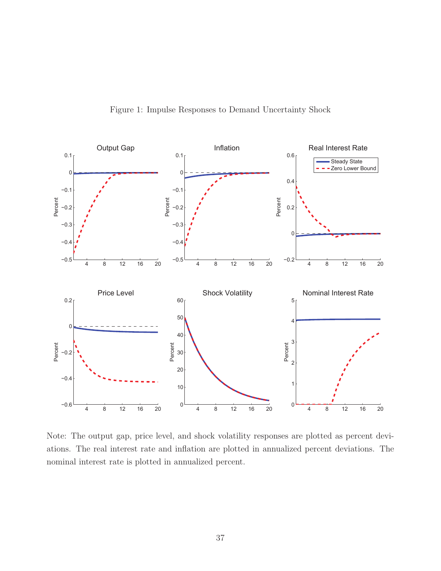

Figure 1: Impulse Responses to Demand Uncertainty Shock

Note: The output gap, price level, and shock volatility responses are plotted as percent deviations. The real interest rate and inflation are plotted in annualized percent deviations. The nominal interest rate is plotted in annualized percent.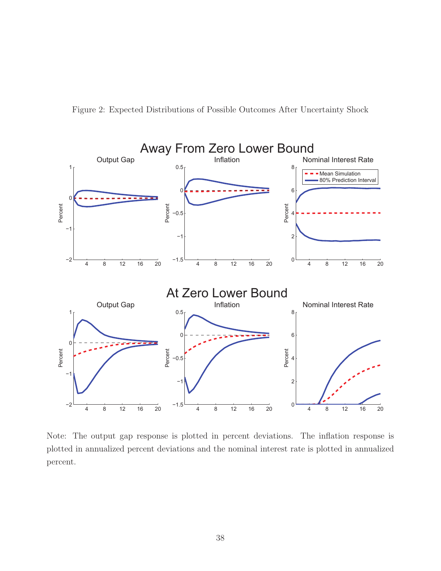



Note: The output gap response is plotted in percent deviations. The inflation response is plotted in annualized percent deviations and the nominal interest rate is plotted in annualized percent.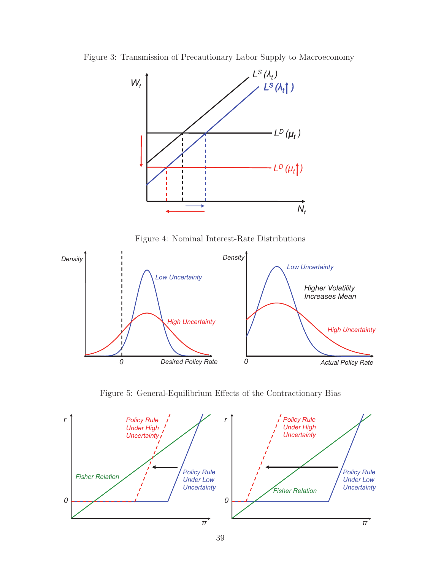



Figure 4: Nominal Interest-Rate Distributions



Figure 5: General-Equilibrium Effects of the Contractionary Bias

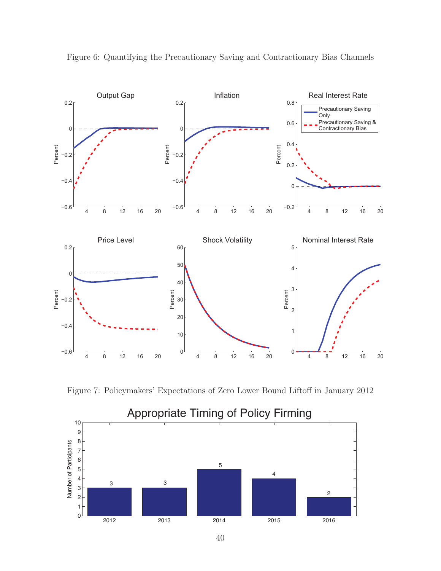

Figure 6: Quantifying the Precautionary Saving and Contractionary Bias Channels

Figure 7: Policymakers' Expectations of Zero Lower Bound Liftoff in January 2012



40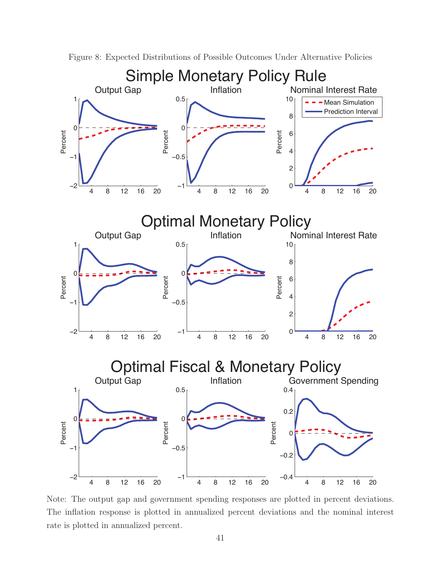

Figure 8: Expected Distributions of Possible Outcomes Under Alternative Policies

Note: The output gap and government spending responses are plotted in percent deviations. The inflation response is plotted in annualized percent deviations and the nominal interest rate is plotted in annualized percent.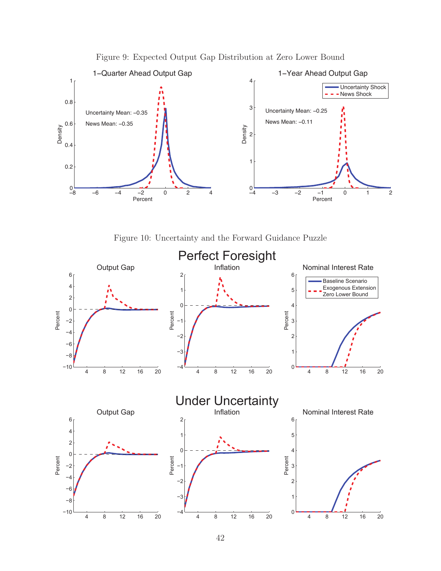

Figure 9: Expected Output Gap Distribution at Zero Lower Bound

Figure 10: Uncertainty and the Forward Guidance Puzzle

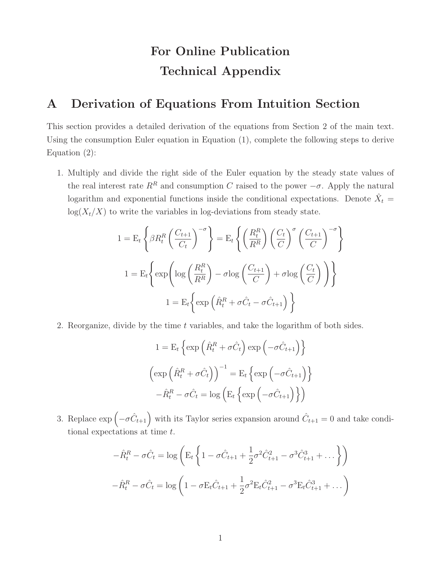# For Online Publication Technical Appendix

# A Derivation of Equations From Intuition Section

This section provides a detailed derivation of the equations from Section 2 of the main text. Using the consumption Euler equation in Equation (1), complete the following steps to derive Equation (2):

1. Multiply and divide the right side of the Euler equation by the steady state values of the real interest rate  $R^R$  and consumption C raised to the power  $-\sigma$ . Apply the natural logarithm and exponential functions inside the conditional expectations. Denote  $\hat{X}_t$  =  $log(X_t/X)$  to write the variables in log-deviations from steady state.

$$
1 = E_t \left\{ \beta R_t^R \left( \frac{C_{t+1}}{C_t} \right)^{-\sigma} \right\} = E_t \left\{ \left( \frac{R_t^R}{R^R} \right) \left( \frac{C_t}{C} \right)^{\sigma} \left( \frac{C_{t+1}}{C} \right)^{-\sigma} \right\}
$$
  

$$
1 = E_t \left\{ \exp \left( \log \left( \frac{R_t^R}{R^R} \right) - \sigma \log \left( \frac{C_{t+1}}{C} \right) + \sigma \log \left( \frac{C_t}{C} \right) \right) \right\}
$$
  

$$
1 = E_t \left\{ \exp \left( \hat{R}_t^R + \sigma \hat{C}_t - \sigma \hat{C}_{t+1} \right) \right\}
$$

2. Reorganize, divide by the time t variables, and take the logarithm of both sides.

$$
1 = \mathcal{E}_t \left\{ \exp \left( \hat{R}_t^R + \sigma \hat{C}_t \right) \exp \left( -\sigma \hat{C}_{t+1} \right) \right\}
$$

$$
\left( \exp \left( \hat{R}_t^R + \sigma \hat{C}_t \right) \right)^{-1} = \mathcal{E}_t \left\{ \exp \left( -\sigma \hat{C}_{t+1} \right) \right\}
$$

$$
- \hat{R}_t^R - \sigma \hat{C}_t = \log \left( \mathcal{E}_t \left\{ \exp \left( -\sigma \hat{C}_{t+1} \right) \right\} \right)
$$

3. Replace  $\exp(-\sigma \hat{C}_{t+1})$  with its Taylor series expansion around  $\hat{C}_{t+1} = 0$  and take conditional expectations at time t.

$$
-\hat{R}_t^R - \sigma \hat{C}_t = \log \left( \mathbf{E}_t \left\{ 1 - \sigma \hat{C}_{t+1} + \frac{1}{2} \sigma^2 \hat{C}_{t+1}^2 - \sigma^3 \hat{C}_{t+1}^3 + \dots \right\} \right)
$$

$$
-\hat{R}_t^R - \sigma \hat{C}_t = \log \left( 1 - \sigma \mathbf{E}_t \hat{C}_{t+1} + \frac{1}{2} \sigma^2 \mathbf{E}_t \hat{C}_{t+1}^2 - \sigma^3 \mathbf{E}_t \hat{C}_{t+1}^3 + \dots \right)
$$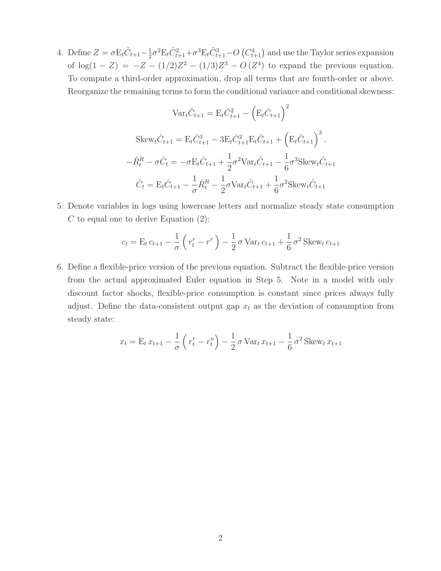4. Define  $Z = \sigma E_t \hat{C}_{t+1} - \frac{1}{2}$  $\frac{1}{2}\sigma^2 \mathcal{E}_t \hat{C}_{t+1}^2 + \sigma^3 \mathcal{E}_t \hat{C}_{t+1}^3 - O\left(C_{t+1}^4\right)$  and use the Taylor series expansion of  $log(1 - Z) = -Z - (1/2)Z^2 - (1/3)Z^3 - O(Z^4)$  to expand the previous equation. To compute a third-order approximation, drop all terms that are fourth-order or above. Reorganize the remaining terms to form the conditional variance and conditional skewness:

$$
\text{Var}_{t}\hat{C}_{t+1} = \text{E}_{t}\hat{C}_{t+1}^{2} - \left(\text{E}_{t}\hat{C}_{t+1}\right)^{2}
$$
  
\n
$$
\text{Skew}_{t}\hat{C}_{t+1} = \text{E}_{t}\hat{C}_{t+1}^{3} - 3\text{E}_{t}\hat{C}_{t+1}^{2}\text{E}_{t}\hat{C}_{t+1} + \left(\text{E}_{t}\hat{C}_{t+1}\right)^{3}.
$$
  
\n
$$
-\hat{R}_{t}^{R} - \sigma\hat{C}_{t} = -\sigma\text{E}_{t}\hat{C}_{t+1} + \frac{1}{2}\sigma^{2}\text{Var}_{t}\hat{C}_{t+1} - \frac{1}{6}\sigma^{3}\text{Skew}_{t}\hat{C}_{t+1}
$$
  
\n
$$
\hat{C}_{t} = \text{E}_{t}\hat{C}_{t+1} - \frac{1}{\sigma}\hat{R}_{t}^{R} - \frac{1}{2}\sigma\text{Var}_{t}\hat{C}_{t+1} + \frac{1}{6}\sigma^{2}\text{Skew}_{t}\hat{C}_{t+1}
$$

5. Denote variables in logs using lowercase letters and normalize steady state consumption  $C$  to equal one to derive Equation  $(2)$ :

$$
c_{t} = \mathcal{E}_{t} c_{t+1} - \frac{1}{\sigma} \left( r_{t}^{r} - r^{r} \right) - \frac{1}{2} \sigma \, \text{Var}_{t} c_{t+1} + \frac{1}{6} \, \sigma^{2} \, \text{Skew}_{t} c_{t+1}
$$

6. Define a flexible-price version of the previous equation. Subtract the flexible-price version from the actual approximated Euler equation in Step 5. Note in a model with only discount factor shocks, flexible-price consumption is constant since prices always fully adjust. Define the data-consistent output gap  $x_t$  as the deviation of consumption from steady state:

$$
x_{t} = \mathcal{E}_{t} x_{t+1} - \frac{1}{\sigma} \left( r_{t}^{r} - r_{t}^{n} \right) - \frac{1}{2} \sigma \operatorname{Var}_{t} x_{t+1} - \frac{1}{6} \sigma^{2} \operatorname{Skew}_{t} x_{t+1}
$$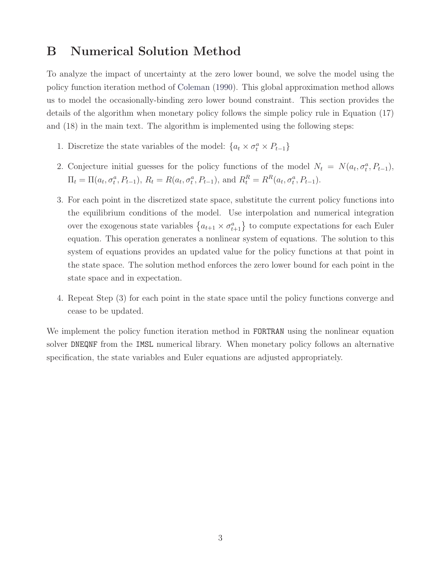## B Numerical Solution Method

To analyze the impact of uncertainty at the zero lower bound, we solve the model using the policy function iteration method of Coleman (1990). This global approximation method allows us to model the occasionally-binding zero lower bound constraint. This section provides the details of the algorithm when monetary policy follows the simple policy rule in Equation (17) and (18) in the main text. The algorithm is implemented using the following steps:

- 1. Discretize the state variables of the model:  $\{a_t \times \sigma_t^a \times P_{t-1}\}\$
- 2. Conjecture initial guesses for the policy functions of the model  $N_t = N(a_t, \sigma_t^a, P_{t-1}),$  $\Pi_t = \Pi(a_t, \sigma_t^a, P_{t-1}), R_t = R(a_t, \sigma_t^a, P_{t-1}), \text{ and } R_t^R = R^R(a_t, \sigma_t^a, P_{t-1}).$
- 3. For each point in the discretized state space, substitute the current policy functions into the equilibrium conditions of the model. Use interpolation and numerical integration over the exogenous state variables  $\{a_{t+1} \times \sigma_{t+1}^a\}$  to compute expectations for each Euler equation. This operation generates a nonlinear system of equations. The solution to this system of equations provides an updated value for the policy functions at that point in the state space. The solution method enforces the zero lower bound for each point in the state space and in expectation.
- 4. Repeat Step (3) for each point in the state space until the policy functions converge and cease to be updated.

We implement the policy function iteration method in **FORTRAN** using the nonlinear equation solver DNEQNF from the IMSL numerical library. When monetary policy follows an alternative specification, the state variables and Euler equations are adjusted appropriately.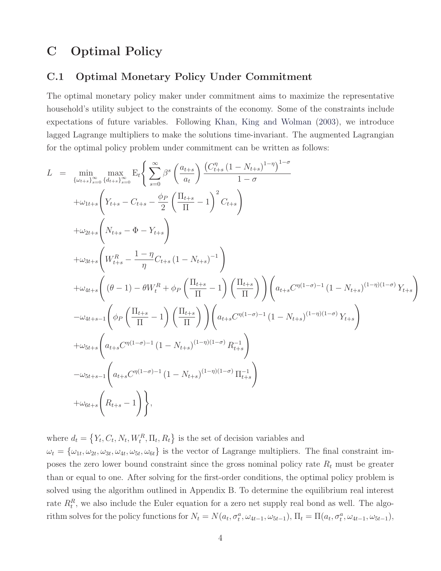# C Optimal Policy

### C.1 Optimal Monetary Policy Under Commitment

The optimal monetary policy maker under commitment aims to maximize the representative household's utility subject to the constraints of the economy. Some of the constraints include expectations of future variables. Following Khan, King and Wolman (2003), we introduce lagged Lagrange multipliers to make the solutions time-invariant. The augmented Lagrangian for the optimal policy problem under commitment can be written as follows:

$$
L = \min_{\{\omega_{t+s}\}_{s=0}^{\infty}} \max_{\{d_{t+s}\}_{s=0}^{\infty}} E_{t} \Bigg\{ \sum_{s=0}^{\infty} \beta^{s} \left( \frac{a_{t+s}}{a_{t}} \right) \frac{(C_{t+s}^{n} (1 - N_{t+s})^{1-\eta})^{1-\sigma}}{1 - \sigma} + \omega_{1t+s} \left( Y_{t+s} - C_{t+s} - \frac{\phi_{P}}{2} \left( \frac{\Pi_{t+s}}{\Pi} - 1 \right)^{2} C_{t+s} \right) + \omega_{2t+s} \left( N_{t+s} - \Phi - Y_{t+s} \right) + \omega_{3t+s} \left( W_{t+s}^{R} - \frac{1-\eta}{\eta} C_{t+s} (1 - N_{t+s})^{-1} \right) + \omega_{4t+s} \left( (\theta - 1) - \theta W_{t}^{R} + \phi_{P} \left( \frac{\Pi_{t+s}}{\Pi} - 1 \right) \left( \frac{\Pi_{t+s}}{\Pi} \right) \right) \left( a_{t+s} C^{\eta(1-\sigma)-1} (1 - N_{t+s})^{(1-\eta)(1-\sigma)} Y_{t+s} \right) - \omega_{4t+s-1} \left( \phi_{P} \left( \frac{\Pi_{t+s}}{\Pi} - 1 \right) \left( \frac{\Pi_{t+s}}{\Pi} \right) \right) \left( a_{t+s} C^{\eta(1-\sigma)-1} (1 - N_{t+s})^{(1-\eta)(1-\sigma)} Y_{t+s} \right) + \omega_{5t+s} \left( a_{t+s} C^{\eta(1-\sigma)-1} (1 - N_{t+s})^{(1-\eta)(1-\sigma)} R_{t+s}^{-1} \right) - \omega_{5t+s-1} \left( a_{t+s} C^{\eta(1-\sigma)-1} (1 - N_{t+s})^{(1-\eta)(1-\sigma)} \Pi_{t+s}^{-1} \right) + \omega_{6t+s} \left( R_{t+s} - 1 \right) \Bigg\},
$$

where  $d_t = \{Y_t, C_t, N_t, W_t^R, \Pi_t, R_t\}$  is the set of decision variables and

 $\omega_t = \{\omega_{1t}, \omega_{2t}, \omega_{3t}, \omega_{4t}, \omega_{5t}, \omega_{6t}\}\$ is the vector of Lagrange multipliers. The final constraint imposes the zero lower bound constraint since the gross nominal policy rate  $R_t$  must be greater than or equal to one. After solving for the first-order conditions, the optimal policy problem is solved using the algorithm outlined in Appendix B. To determine the equilibrium real interest rate  $R_t^R$ , we also include the Euler equation for a zero net supply real bond as well. The algorithm solves for the policy functions for  $N_t = N(a_t, \sigma_t^a, \omega_{4t-1}, \omega_{5t-1}), \Pi_t = \Pi(a_t, \sigma_t^a, \omega_{4t-1}, \omega_{5t-1}),$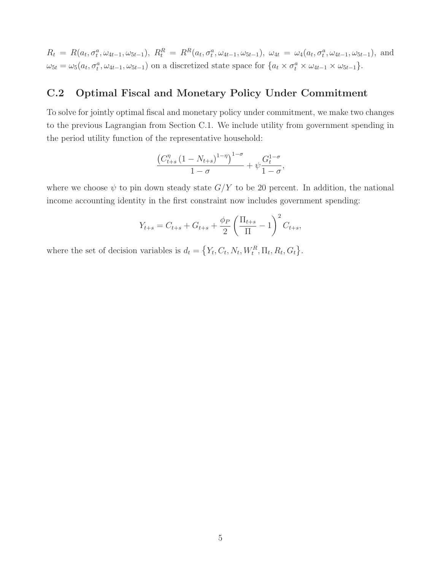$R_t = R(a_t, \sigma_t^a, \omega_{4t-1}, \omega_{5t-1}), R_t^R = R^R(a_t, \sigma_t^a, \omega_{4t-1}, \omega_{5t-1}), \omega_{4t} = \omega_4(a_t, \sigma_t^a, \omega_{4t-1}, \omega_{5t-1}), \text{ and}$  $\omega_{5t} = \omega_5(a_t, \sigma_t^a, \omega_{4t-1}, \omega_{5t-1})$  on a discretized state space for  $\{a_t \times \sigma_t^a \times \omega_{4t-1} \times \omega_{5t-1}\}.$ 

### C.2 Optimal Fiscal and Monetary Policy Under Commitment

To solve for jointly optimal fiscal and monetary policy under commitment, we make two changes to the previous Lagrangian from Section C.1. We include utility from government spending in the period utility function of the representative household:

$$
\frac{\left(C_{t+s}^{\eta}\left(1-N_{t+s}\right)^{1-\eta}\right)^{1-\sigma}}{1-\sigma}+\psi\frac{G_{t}^{1-\sigma}}{1-\sigma},
$$

where we choose  $\psi$  to pin down steady state  $G/Y$  to be 20 percent. In addition, the national income accounting identity in the first constraint now includes government spending:

$$
Y_{t+s} = C_{t+s} + G_{t+s} + \frac{\phi_P}{2} \left( \frac{\Pi_{t+s}}{\Pi} - 1 \right)^2 C_{t+s},
$$

where the set of decision variables is  $d_t = \{Y_t, C_t, N_t, W_t^R, \Pi_t, R_t, G_t\}.$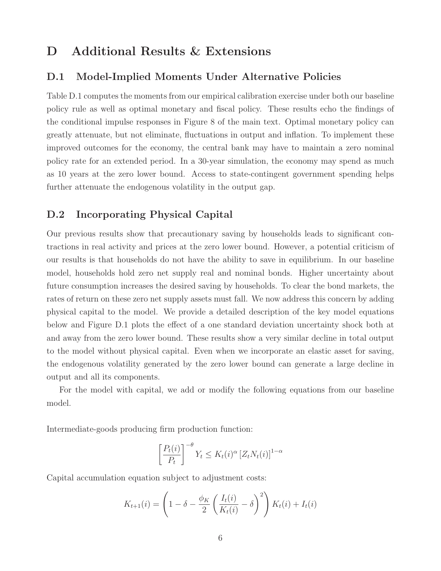# D Additional Results & Extensions

### D.1 Model-Implied Moments Under Alternative Policies

Table D.1 computes the moments from our empirical calibration exercise under both our baseline policy rule as well as optimal monetary and fiscal policy. These results echo the findings of the conditional impulse responses in Figure 8 of the main text. Optimal monetary policy can greatly attenuate, but not eliminate, fluctuations in output and inflation. To implement these improved outcomes for the economy, the central bank may have to maintain a zero nominal policy rate for an extended period. In a 30-year simulation, the economy may spend as much as 10 years at the zero lower bound. Access to state-contingent government spending helps further attenuate the endogenous volatility in the output gap.

### D.2 Incorporating Physical Capital

Our previous results show that precautionary saving by households leads to significant contractions in real activity and prices at the zero lower bound. However, a potential criticism of our results is that households do not have the ability to save in equilibrium. In our baseline model, households hold zero net supply real and nominal bonds. Higher uncertainty about future consumption increases the desired saving by households. To clear the bond markets, the rates of return on these zero net supply assets must fall. We now address this concern by adding physical capital to the model. We provide a detailed description of the key model equations below and Figure D.1 plots the effect of a one standard deviation uncertainty shock both at and away from the zero lower bound. These results show a very similar decline in total output to the model without physical capital. Even when we incorporate an elastic asset for saving, the endogenous volatility generated by the zero lower bound can generate a large decline in output and all its components.

For the model with capital, we add or modify the following equations from our baseline model.

Intermediate-goods producing firm production function:

$$
\left[\frac{P_t(i)}{P_t}\right]^{-\theta} Y_t \le K_t(i)^{\alpha} \left[Z_t N_t(i)\right]^{1-\alpha}
$$

Capital accumulation equation subject to adjustment costs:

$$
K_{t+1}(i) = \left(1 - \delta - \frac{\phi_K}{2} \left(\frac{I_t(i)}{K_t(i)} - \delta\right)^2\right) K_t(i) + I_t(i)
$$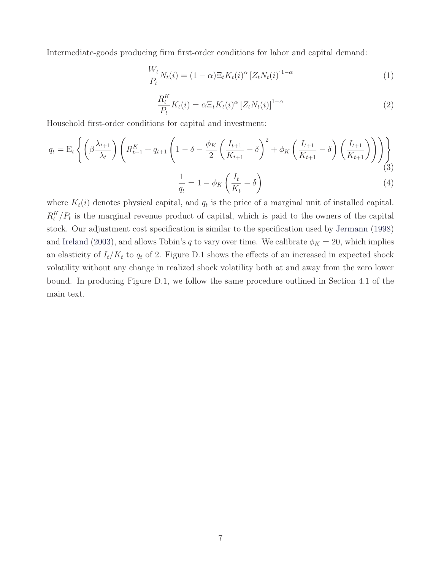Intermediate-goods producing firm first-order conditions for labor and capital demand:

$$
\frac{W_t}{P_t}N_t(i) = (1 - \alpha)\Xi_t K_t(i)^{\alpha} \left[Z_t N_t(i)\right]^{1-\alpha} \tag{1}
$$

$$
\frac{R_t^K}{P_t} K_t(i) = \alpha \Xi_t K_t(i)^{\alpha} \left[ Z_t N_t(i) \right]^{1-\alpha} \tag{2}
$$

Household first-order conditions for capital and investment:

$$
q_{t} = \mathcal{E}_{t} \left\{ \left( \beta \frac{\lambda_{t+1}}{\lambda_{t}} \right) \left( R_{t+1}^{K} + q_{t+1} \left( 1 - \delta - \frac{\phi_{K}}{2} \left( \frac{I_{t+1}}{K_{t+1}} - \delta \right)^{2} + \phi_{K} \left( \frac{I_{t+1}}{K_{t+1}} - \delta \right) \left( \frac{I_{t+1}}{K_{t+1}} \right) \right) \right) \right\}
$$
(3)

$$
\frac{1}{q_t} = 1 - \phi_K \left( \frac{I_t}{K_t} - \delta \right) \tag{4}
$$

where  $K_t(i)$  denotes physical capital, and  $q_t$  is the price of a marginal unit of installed capital.  $R_t^K/P_t$  is the marginal revenue product of capital, which is paid to the owners of the capital stock. Our adjustment cost specification is similar to the specification used by Jermann (1998) and Ireland (2003), and allows Tobin's q to vary over time. We calibrate  $\phi_K = 20$ , which implies an elasticity of  $I_t/K_t$  to  $q_t$  of 2. Figure D.1 shows the effects of an increased in expected shock volatility without any change in realized shock volatility both at and away from the zero lower bound. In producing Figure D.1, we follow the same procedure outlined in Section 4.1 of the main text.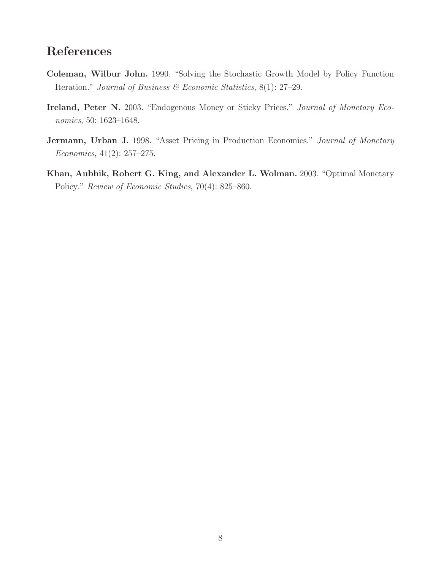# References

- Coleman, Wilbur John. 1990. "Solving the Stochastic Growth Model by Policy Function Iteration." Journal of Business & Economic Statistics, 8(1): 27–29.
- Ireland, Peter N. 2003. "Endogenous Money or Sticky Prices." Journal of Monetary Economics, 50: 1623–1648.
- Jermann, Urban J. 1998. "Asset Pricing in Production Economies." Journal of Monetary Economics, 41(2): 257–275.
- Khan, Aubhik, Robert G. King, and Alexander L. Wolman. 2003. "Optimal Monetary Policy." Review of Economic Studies, 70(4): 825–860.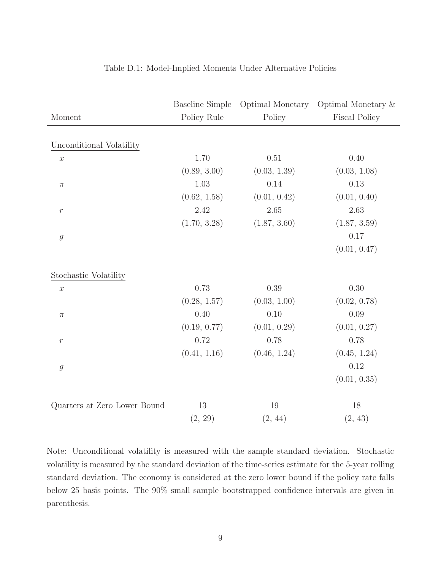|                                                           | <b>Baseline Simple</b> |              | Optimal Monetary Optimal Monetary & |
|-----------------------------------------------------------|------------------------|--------------|-------------------------------------|
| Moment                                                    | Policy Rule            | Policy       | <b>Fiscal Policy</b>                |
|                                                           |                        |              |                                     |
| Unconditional Volatility                                  |                        |              |                                     |
| $\boldsymbol{x}$                                          | 1.70                   | 0.51         | 0.40                                |
|                                                           | (0.89, 3.00)           | (0.03, 1.39) | (0.03, 1.08)                        |
| $\pi$                                                     | 1.03                   | 0.14         | 0.13                                |
|                                                           | (0.62, 1.58)           | (0.01, 0.42) | (0.01, 0.40)                        |
| $\boldsymbol{r}$                                          | 2.42                   | 2.65         | 2.63                                |
|                                                           | (1.70, 3.28)           | (1.87, 3.60) | (1.87, 3.59)                        |
| $\mathcal{G}% _{M_{1},M_{2}}^{\alpha,\beta}(\varepsilon)$ |                        |              | 0.17                                |
|                                                           |                        |              | (0.01, 0.47)                        |
|                                                           |                        |              |                                     |
| Stochastic Volatility                                     |                        |              |                                     |
| $\boldsymbol{x}$                                          | 0.73                   | 0.39         | $0.30\,$                            |
|                                                           | (0.28, 1.57)           | (0.03, 1.00) | (0.02, 0.78)                        |
| $\pi$                                                     | 0.40                   | 0.10         | 0.09                                |
|                                                           | (0.19, 0.77)           | (0.01, 0.29) | (0.01, 0.27)                        |
| $\,r\,$                                                   | 0.72                   | 0.78         | 0.78                                |
|                                                           | (0.41, 1.16)           | (0.46, 1.24) | (0.45, 1.24)                        |
| $\mathfrak{g}$                                            |                        |              | $0.12\,$                            |
|                                                           |                        |              | (0.01, 0.35)                        |
| Quarters at Zero Lower Bound                              | 13                     | 19           | 18                                  |
|                                                           | (2, 29)                | (2, 44)      | (2, 43)                             |
|                                                           |                        |              |                                     |

#### Table D.1: Model-Implied Moments Under Alternative Policies

Note: Unconditional volatility is measured with the sample standard deviation. Stochastic volatility is measured by the standard deviation of the time-series estimate for the 5-year rolling standard deviation. The economy is considered at the zero lower bound if the policy rate falls below 25 basis points. The 90% small sample bootstrapped confidence intervals are given in parenthesis.